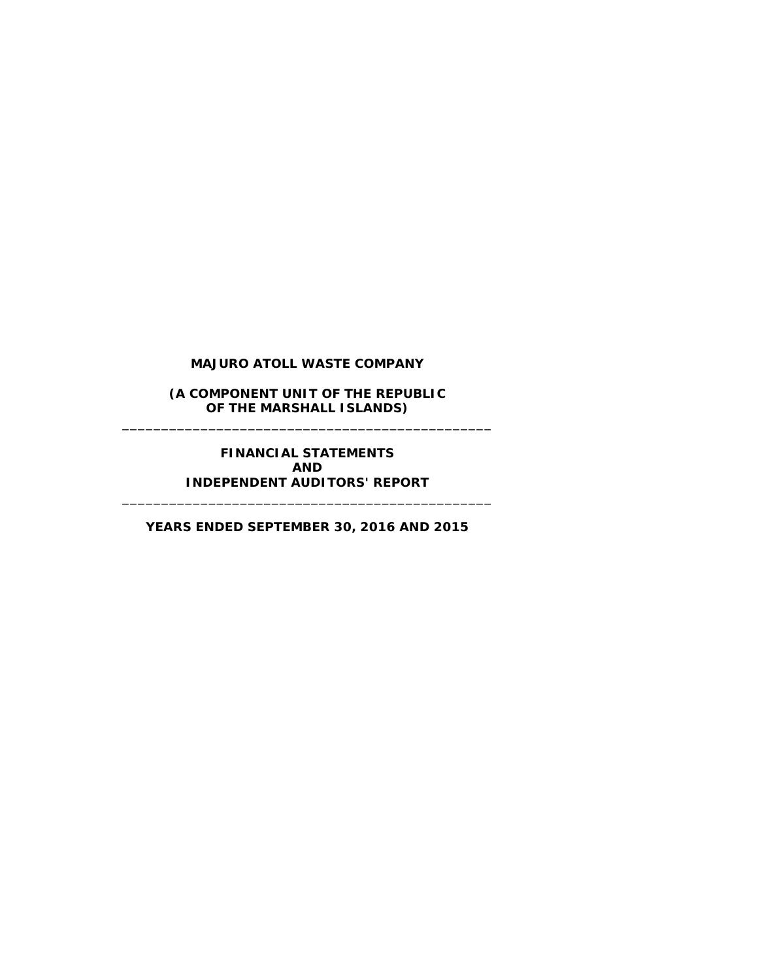**(A COMPONENT UNIT OF THE REPUBLIC OF THE MARSHALL ISLANDS)** \_\_\_\_\_\_\_\_\_\_\_\_\_\_\_\_\_\_\_\_\_\_\_\_\_\_\_\_\_\_\_\_\_\_\_\_\_\_\_\_\_\_\_\_\_\_\_

> **FINANCIAL STATEMENTS AND INDEPENDENT AUDITORS' REPORT**

**YEARS ENDED SEPTEMBER 30, 2016 AND 2015**

\_\_\_\_\_\_\_\_\_\_\_\_\_\_\_\_\_\_\_\_\_\_\_\_\_\_\_\_\_\_\_\_\_\_\_\_\_\_\_\_\_\_\_\_\_\_\_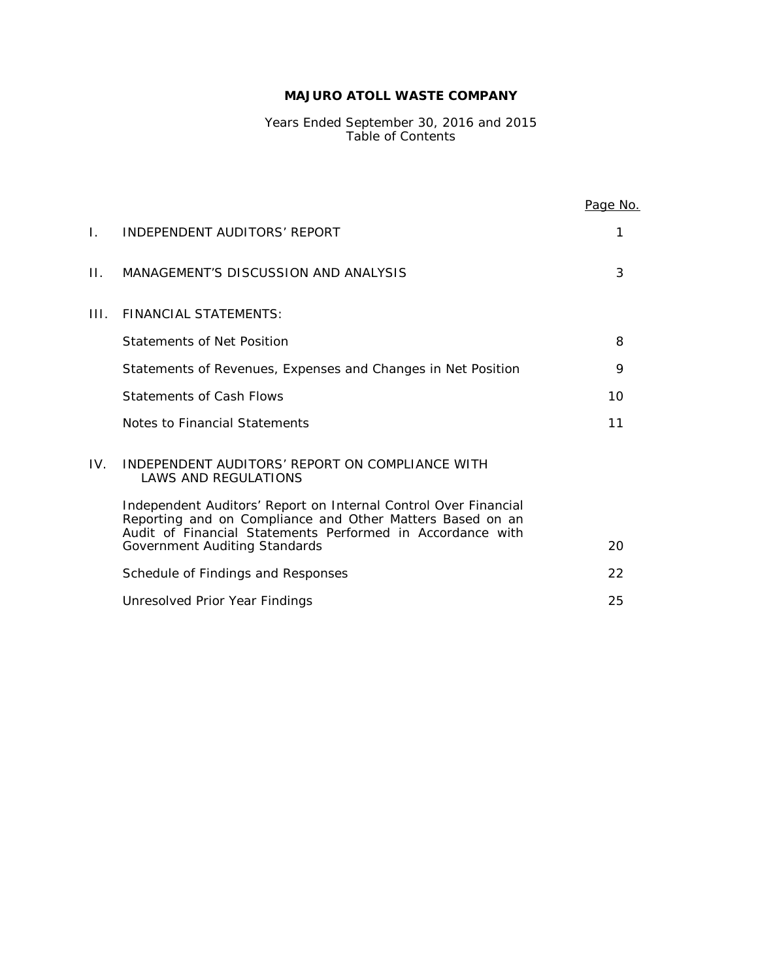Years Ended September 30, 2016 and 2015 Table of Contents

|              |                                                                                                                                                                                            | <u>Page No.</u> |
|--------------|--------------------------------------------------------------------------------------------------------------------------------------------------------------------------------------------|-----------------|
| $\mathbf{L}$ | INDEPENDENT AUDITORS' REPORT                                                                                                                                                               | 1               |
| $\Pi$ .      | MANAGEMENT'S DISCUSSION AND ANALYSIS                                                                                                                                                       | 3               |
| HL.          | <b>FINANCIAL STATEMENTS:</b>                                                                                                                                                               |                 |
|              | Statements of Net Position                                                                                                                                                                 | 8               |
|              | Statements of Revenues, Expenses and Changes in Net Position                                                                                                                               | 9               |
|              | <b>Statements of Cash Flows</b>                                                                                                                                                            | 10              |
|              | Notes to Financial Statements                                                                                                                                                              | 11              |
| IV.          | INDEPENDENT AUDITORS' REPORT ON COMPLIANCE WITH<br><b>LAWS AND REGULATIONS</b>                                                                                                             |                 |
|              | Independent Auditors' Report on Internal Control Over Financial<br>Reporting and on Compliance and Other Matters Based on an<br>Audit of Financial Statements Performed in Accordance with |                 |
|              | Government Auditing Standards                                                                                                                                                              | 20              |
|              | Schedule of Findings and Responses                                                                                                                                                         | 22              |
|              | Unresolved Prior Year Findings                                                                                                                                                             | 25              |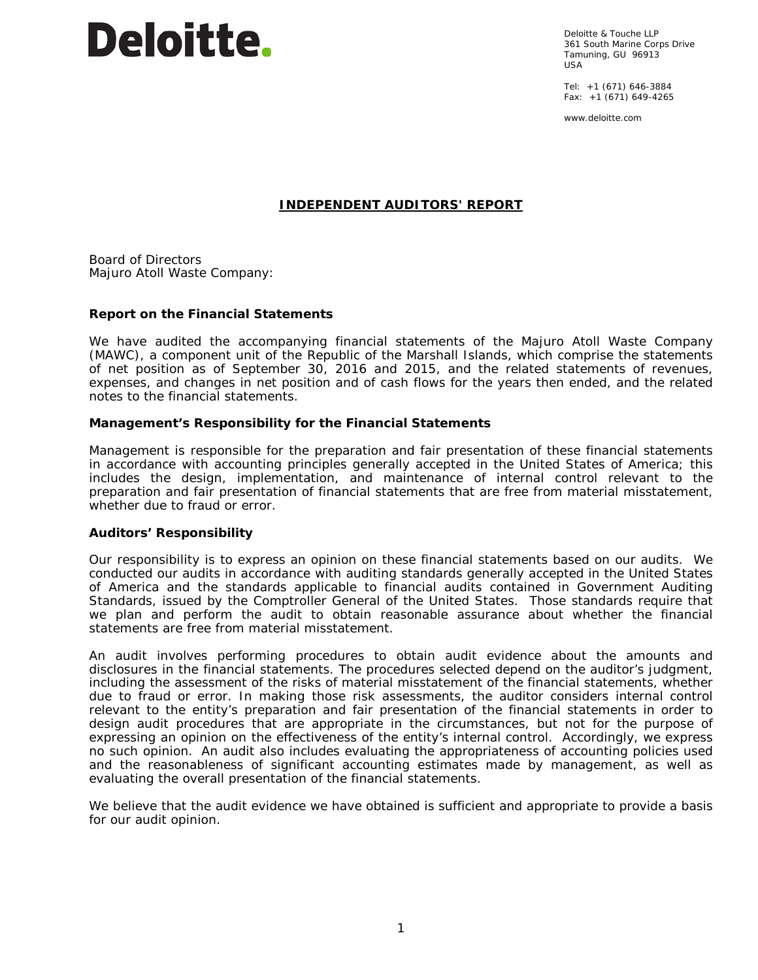

Deloitte & Touche LLP 361 South Marine Corps Drive Tamuning, GU 96913 USA

Tel: +1 (671) 646-3884 Fax: +1 (671) 649-4265

www.deloitte.com

## **INDEPENDENT AUDITORS' REPORT**

Board of Directors Majuro Atoll Waste Company:

#### **Report on the Financial Statements**

We have audited the accompanying financial statements of the Majuro Atoll Waste Company (MAWC), a component unit of the Republic of the Marshall Islands, which comprise the statements of net position as of September 30, 2016 and 2015, and the related statements of revenues, expenses, and changes in net position and of cash flows for the years then ended, and the related notes to the financial statements.

#### *Management's Responsibility for the Financial Statements*

Management is responsible for the preparation and fair presentation of these financial statements in accordance with accounting principles generally accepted in the United States of America; this includes the design, implementation, and maintenance of internal control relevant to the preparation and fair presentation of financial statements that are free from material misstatement, whether due to fraud or error.

#### *Auditors' Responsibility*

Our responsibility is to express an opinion on these financial statements based on our audits. We conducted our audits in accordance with auditing standards generally accepted in the United States of America and the standards applicable to financial audits contained in *Government Auditing Standards,* issued by the Comptroller General of the United States. Those standards require that we plan and perform the audit to obtain reasonable assurance about whether the financial statements are free from material misstatement.

An audit involves performing procedures to obtain audit evidence about the amounts and disclosures in the financial statements. The procedures selected depend on the auditor's judgment, including the assessment of the risks of material misstatement of the financial statements, whether due to fraud or error. In making those risk assessments, the auditor considers internal control relevant to the entity's preparation and fair presentation of the financial statements in order to design audit procedures that are appropriate in the circumstances, but not for the purpose of expressing an opinion on the effectiveness of the entity's internal control. Accordingly, we express no such opinion. An audit also includes evaluating the appropriateness of accounting policies used and the reasonableness of significant accounting estimates made by management, as well as evaluating the overall presentation of the financial statements.

We believe that the audit evidence we have obtained is sufficient and appropriate to provide a basis for our audit opinion.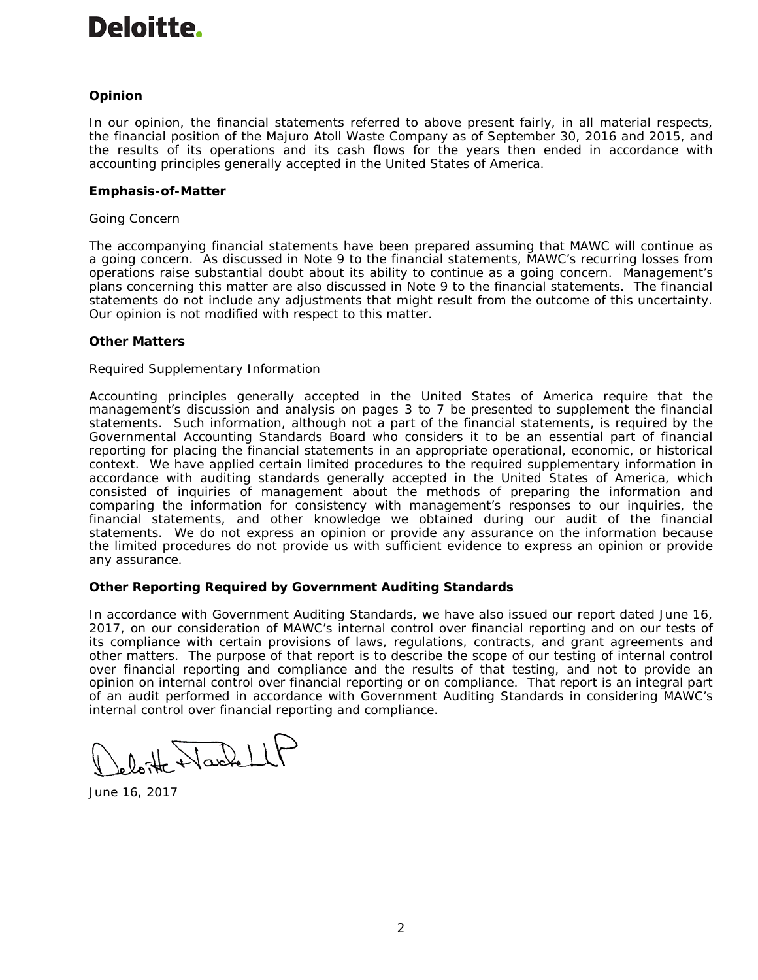# Deloitte.

# *Opinion*

In our opinion, the financial statements referred to above present fairly, in all material respects, the financial position of the Majuro Atoll Waste Company as of September 30, 2016 and 2015, and the results of its operations and its cash flows for the years then ended in accordance with accounting principles generally accepted in the United States of America.

## **Emphasis-of-Matter**

## *Going Concern*

The accompanying financial statements have been prepared assuming that MAWC will continue as a going concern. As discussed in Note 9 to the financial statements, MAWC's recurring losses from operations raise substantial doubt about its ability to continue as a going concern. Management's plans concerning this matter are also discussed in Note 9 to the financial statements. The financial statements do not include any adjustments that might result from the outcome of this uncertainty. Our opinion is not modified with respect to this matter.

## *Other Matters*

## *Required Supplementary Information*

Accounting principles generally accepted in the United States of America require that the management's discussion and analysis on pages 3 to 7 be presented to supplement the financial statements. Such information, although not a part of the financial statements, is required by the Governmental Accounting Standards Board who considers it to be an essential part of financial reporting for placing the financial statements in an appropriate operational, economic, or historical context. We have applied certain limited procedures to the required supplementary information in accordance with auditing standards generally accepted in the United States of America, which consisted of inquiries of management about the methods of preparing the information and comparing the information for consistency with management's responses to our inquiries, the financial statements, and other knowledge we obtained during our audit of the financial statements. We do not express an opinion or provide any assurance on the information because the limited procedures do not provide us with sufficient evidence to express an opinion or provide any assurance.

## **Other Reporting Required by** *Government Auditing Standards*

In accordance with *Government Auditing Standards*, we have also issued our report dated June 16, 2017, on our consideration of MAWC's internal control over financial reporting and on our tests of its compliance with certain provisions of laws, regulations, contracts, and grant agreements and other matters. The purpose of that report is to describe the scope of our testing of internal control over financial reporting and compliance and the results of that testing, and not to provide an opinion on internal control over financial reporting or on compliance. That report is an integral part of an audit performed in accordance with *Government Auditing Standards* in considering MAWC's internal control over financial reporting and compliance.

Wackell

June 16, 2017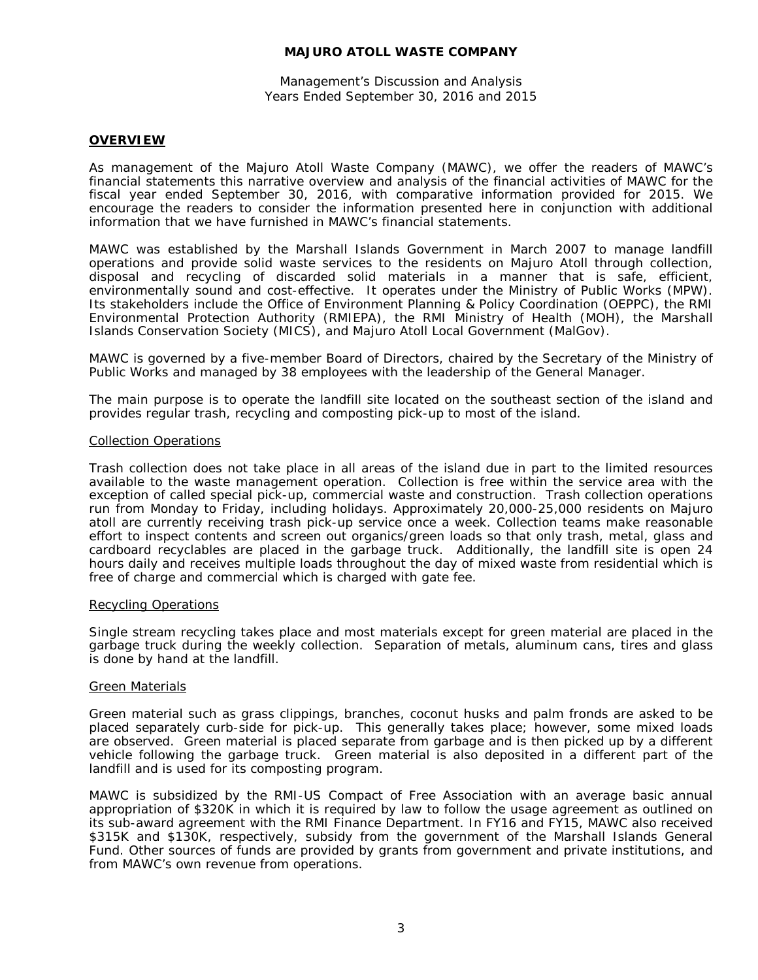Management's Discussion and Analysis Years Ended September 30, 2016 and 2015

## **OVERVIEW**

As management of the Majuro Atoll Waste Company (MAWC), we offer the readers of MAWC's financial statements this narrative overview and analysis of the financial activities of MAWC for the fiscal year ended September 30, 2016, with comparative information provided for 2015. We encourage the readers to consider the information presented here in conjunction with additional information that we have furnished in MAWC's financial statements.

MAWC was established by the Marshall Islands Government in March 2007 to manage landfill operations and provide solid waste services to the residents on Majuro Atoll through collection, disposal and recycling of discarded solid materials in a manner that is safe, efficient, environmentally sound and cost-effective. It operates under the Ministry of Public Works (MPW). Its stakeholders include the Office of Environment Planning & Policy Coordination (OEPPC), the RMI Environmental Protection Authority (RMIEPA), the RMI Ministry of Health (MOH), the Marshall Islands Conservation Society (MICS), and Majuro Atoll Local Government (MalGov).

MAWC is governed by a five-member Board of Directors, chaired by the Secretary of the Ministry of Public Works and managed by 38 employees with the leadership of the General Manager.

The main purpose is to operate the landfill site located on the southeast section of the island and provides regular trash, recycling and composting pick-up to most of the island.

## *Collection Operations*

Trash collection does not take place in all areas of the island due in part to the limited resources available to the waste management operation. Collection is free within the service area with the exception of called special pick-up, commercial waste and construction. Trash collection operations run from Monday to Friday, including holidays. Approximately 20,000-25,000 residents on Majuro atoll are currently receiving trash pick-up service once a week. Collection teams make reasonable effort to inspect contents and screen out organics/green loads so that only trash, metal, glass and cardboard recyclables are placed in the garbage truck. Additionally, the landfill site is open 24 hours daily and receives multiple loads throughout the day of mixed waste from residential which is free of charge and commercial which is charged with gate fee.

#### *Recycling Operations*

Single stream recycling takes place and most materials except for green material are placed in the garbage truck during the weekly collection. Separation of metals, aluminum cans, tires and glass is done by hand at the landfill.

## *Green Materials*

Green material such as grass clippings, branches, coconut husks and palm fronds are asked to be placed separately curb-side for pick-up. This generally takes place; however, some mixed loads are observed. Green material is placed separate from garbage and is then picked up by a different vehicle following the garbage truck. Green material is also deposited in a different part of the landfill and is used for its composting program.

MAWC is subsidized by the RMI-US Compact of Free Association with an average basic annual appropriation of \$320K in which it is required by law to follow the usage agreement as outlined on its sub-award agreement with the RMI Finance Department. In FY16 and FY15, MAWC also received \$315K and \$130K, respectively, subsidy from the government of the Marshall Islands General Fund. Other sources of funds are provided by grants from government and private institutions, and from MAWC's own revenue from operations.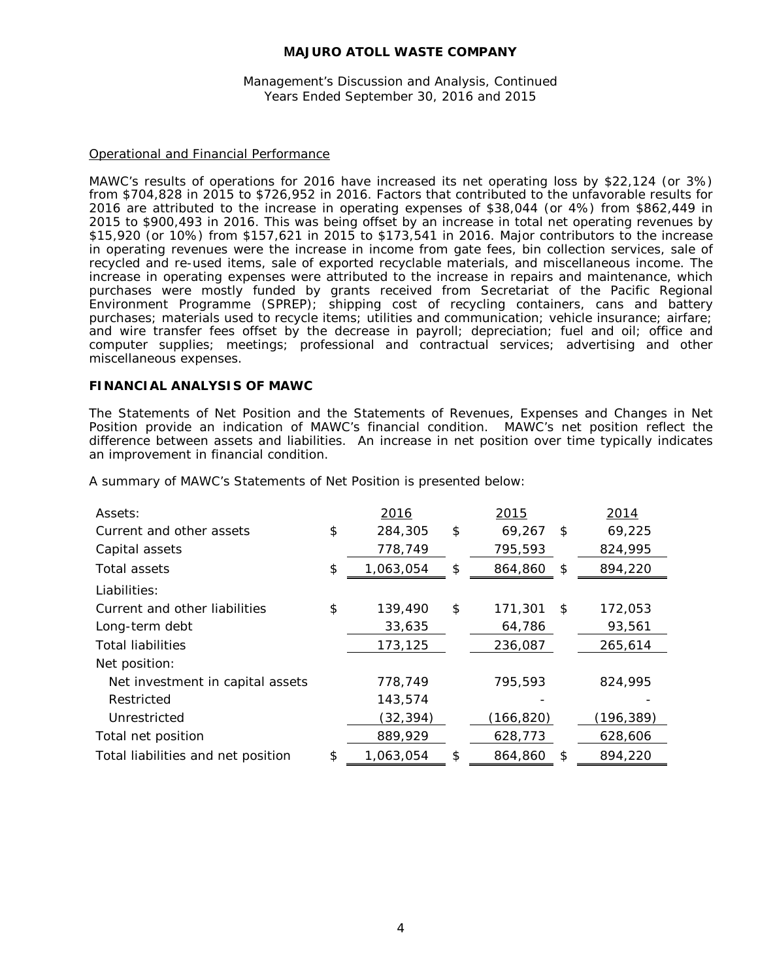Management's Discussion and Analysis, Continued Years Ended September 30, 2016 and 2015

## Operational and Financial Performance

MAWC's results of operations for 2016 have increased its net operating loss by \$22,124 (or 3%) from \$704,828 in 2015 to \$726,952 in 2016. Factors that contributed to the unfavorable results for 2016 are attributed to the increase in operating expenses of \$38,044 (or 4%) from \$862,449 in 2015 to \$900,493 in 2016. This was being offset by an increase in total net operating revenues by \$15,920 (or 10%) from \$157,621 in 2015 to \$173,541 in 2016. Major contributors to the increase in operating revenues were the increase in income from gate fees, bin collection services, sale of recycled and re-used items, sale of exported recyclable materials, and miscellaneous income. The increase in operating expenses were attributed to the increase in repairs and maintenance, which purchases were mostly funded by grants received from Secretariat of the Pacific Regional Environment Programme (SPREP); shipping cost of recycling containers, cans and battery purchases; materials used to recycle items; utilities and communication; vehicle insurance; airfare; and wire transfer fees offset by the decrease in payroll; depreciation; fuel and oil; office and computer supplies; meetings; professional and contractual services; advertising and other miscellaneous expenses.

## **FINANCIAL ANALYSIS OF MAWC**

The Statements of Net Position and the Statements of Revenues, Expenses and Changes in Net Position provide an indication of MAWC's financial condition. MAWC's net position reflect the difference between assets and liabilities. An increase in net position over time typically indicates an improvement in financial condition.

| Assets:                            | 2016            | 2015          | 2014          |
|------------------------------------|-----------------|---------------|---------------|
| Current and other assets           | \$<br>284,305   | \$<br>69,267  | \$<br>69,225  |
| Capital assets                     | 778,749         | 795,593       | 824,995       |
| Total assets                       | \$<br>1,063,054 | \$<br>864,860 | \$<br>894,220 |
| Liabilities:                       |                 |               |               |
| Current and other liabilities      | \$<br>139,490   | \$<br>171,301 | \$<br>172,053 |
| Long-term debt                     | 33,635          | 64,786        | 93,561        |
| <b>Total liabilities</b>           | 173,125         | 236,087       | 265,614       |
| Net position:                      |                 |               |               |
| Net investment in capital assets   | 778,749         | 795,593       | 824,995       |
| Restricted                         | 143,574         |               |               |
| Unrestricted                       | (32, 394)       | (166, 820)    | (196,389)     |
| Total net position                 | 889,929         | 628,773       | 628,606       |
| Total liabilities and net position | \$<br>1,063,054 | \$<br>864,860 | \$<br>894,220 |

A summary of MAWC's Statements of Net Position is presented below: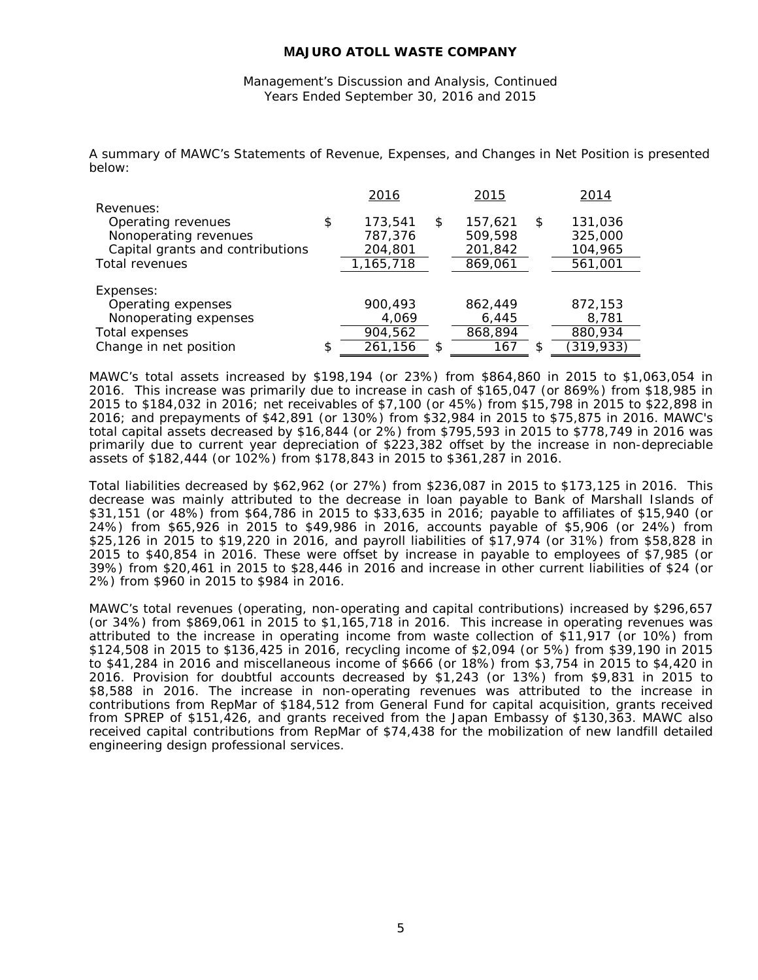Management's Discussion and Analysis, Continued Years Ended September 30, 2016 and 2015

A summary of MAWC's Statements of Revenue, Expenses, and Changes in Net Position is presented below:

|                                  | 2016          | 2015          |    | 2014       |
|----------------------------------|---------------|---------------|----|------------|
| Revenues:                        |               |               |    |            |
| Operating revenues               | \$<br>173.541 | \$<br>157.621 | \$ | 131,036    |
| Nonoperating revenues            | 787,376       | 509,598       |    | 325,000    |
| Capital grants and contributions | 204,801       | 201,842       |    | 104,965    |
| Total revenues                   | 1,165,718     | 869,061       |    | 561,001    |
|                                  |               |               |    |            |
| Expenses:                        |               |               |    |            |
| Operating expenses               | 900,493       | 862.449       |    | 872,153    |
| Nonoperating expenses            | 4,069         | 6,445         |    | 8,781      |
| Total expenses                   | 904,562       | 868,894       |    | 880,934    |
| Change in net position           | \$<br>261,156 | 167           | S  | (319, 933) |

MAWC's total assets increased by \$198,194 (or 23%) from \$864,860 in 2015 to \$1,063,054 in 2016. This increase was primarily due to increase in cash of \$165,047 (or 869%) from \$18,985 in 2015 to \$184,032 in 2016; net receivables of \$7,100 (or 45%) from \$15,798 in 2015 to \$22,898 in 2016; and prepayments of \$42,891 (or 130%) from \$32,984 in 2015 to \$75,875 in 2016. MAWC's total capital assets decreased by \$16,844 (or 2%) from \$795,593 in 2015 to \$778,749 in 2016 was primarily due to current year depreciation of \$223,382 offset by the increase in non-depreciable assets of \$182,444 (or 102%) from \$178,843 in 2015 to \$361,287 in 2016.

Total liabilities decreased by \$62,962 (or 27%) from \$236,087 in 2015 to \$173,125 in 2016. This decrease was mainly attributed to the decrease in loan payable to Bank of Marshall Islands of \$31,151 (or 48%) from \$64,786 in 2015 to \$33,635 in 2016; payable to affiliates of \$15,940 (or 24%) from \$65,926 in 2015 to \$49,986 in 2016, accounts payable of \$5,906 (or 24%) from \$25,126 in 2015 to \$19,220 in 2016, and payroll liabilities of \$17,974 (or 31%) from \$58,828 in 2015 to \$40,854 in 2016. These were offset by increase in payable to employees of \$7,985 (or 39%) from \$20,461 in 2015 to \$28,446 in 2016 and increase in other current liabilities of \$24 (or 2%) from \$960 in 2015 to \$984 in 2016.

MAWC's total revenues (operating, non-operating and capital contributions) increased by \$296,657 (or 34%) from \$869,061 in 2015 to \$1,165,718 in 2016. This increase in operating revenues was attributed to the increase in operating income from waste collection of \$11,917 (or 10%) from \$124,508 in 2015 to \$136,425 in 2016, recycling income of \$2,094 (or 5%) from \$39,190 in 2015 to \$41,284 in 2016 and miscellaneous income of \$666 (or 18%) from \$3,754 in 2015 to \$4,420 in 2016. Provision for doubtful accounts decreased by \$1,243 (or 13%) from \$9,831 in 2015 to \$8,588 in 2016. The increase in non-operating revenues was attributed to the increase in contributions from RepMar of \$184,512 from General Fund for capital acquisition, grants received from SPREP of \$151,426, and grants received from the Japan Embassy of \$130,363. MAWC also received capital contributions from RepMar of \$74,438 for the mobilization of new landfill detailed engineering design professional services.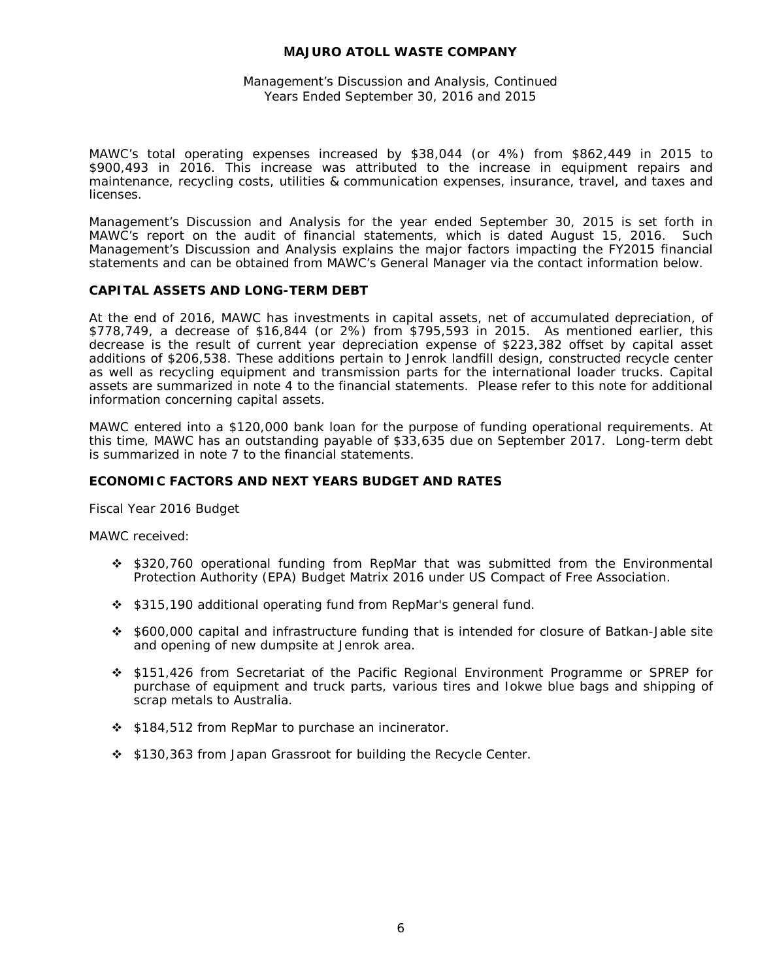## Management's Discussion and Analysis, Continued Years Ended September 30, 2016 and 2015

MAWC's total operating expenses increased by \$38,044 (or 4%) from \$862,449 in 2015 to \$900,493 in 2016. This increase was attributed to the increase in equipment repairs and maintenance, recycling costs, utilities & communication expenses, insurance, travel, and taxes and licenses.

Management's Discussion and Analysis for the year ended September 30, 2015 is set forth in MAWC's report on the audit of financial statements, which is dated August 15, 2016. Such Management's Discussion and Analysis explains the major factors impacting the FY2015 financial statements and can be obtained from MAWC's General Manager via the contact information below.

#### **CAPITAL ASSETS AND LONG-TERM DEBT**

At the end of 2016, MAWC has investments in capital assets, net of accumulated depreciation, of \$778,749, a decrease of \$16,844 (or 2%) from \$795,593 in 2015. As mentioned earlier, this decrease is the result of current year depreciation expense of \$223,382 offset by capital asset additions of \$206,538. These additions pertain to Jenrok landfill design, constructed recycle center as well as recycling equipment and transmission parts for the international loader trucks. Capital assets are summarized in note 4 to the financial statements. Please refer to this note for additional information concerning capital assets.

MAWC entered into a \$120,000 bank loan for the purpose of funding operational requirements. At this time, MAWC has an outstanding payable of \$33,635 due on September 2017. Long-term debt is summarized in note 7 to the financial statements.

#### **ECONOMIC FACTORS AND NEXT YEARS BUDGET AND RATES**

Fiscal Year 2016 Budget

MAWC received:

- \$320,760 operational funding from RepMar that was submitted from the Environmental Protection Authority (EPA) Budget Matrix 2016 under US Compact of Free Association.
- \$315,190 additional operating fund from RepMar's general fund.
- \$600,000 capital and infrastructure funding that is intended for closure of Batkan-Jable site and opening of new dumpsite at Jenrok area.
- \$151,426 from Secretariat of the Pacific Regional Environment Programme or SPREP for purchase of equipment and truck parts, various tires and Iokwe blue bags and shipping of scrap metals to Australia.
- ❖ \$184,512 from RepMar to purchase an incinerator.
- \$130,363 from Japan Grassroot for building the Recycle Center.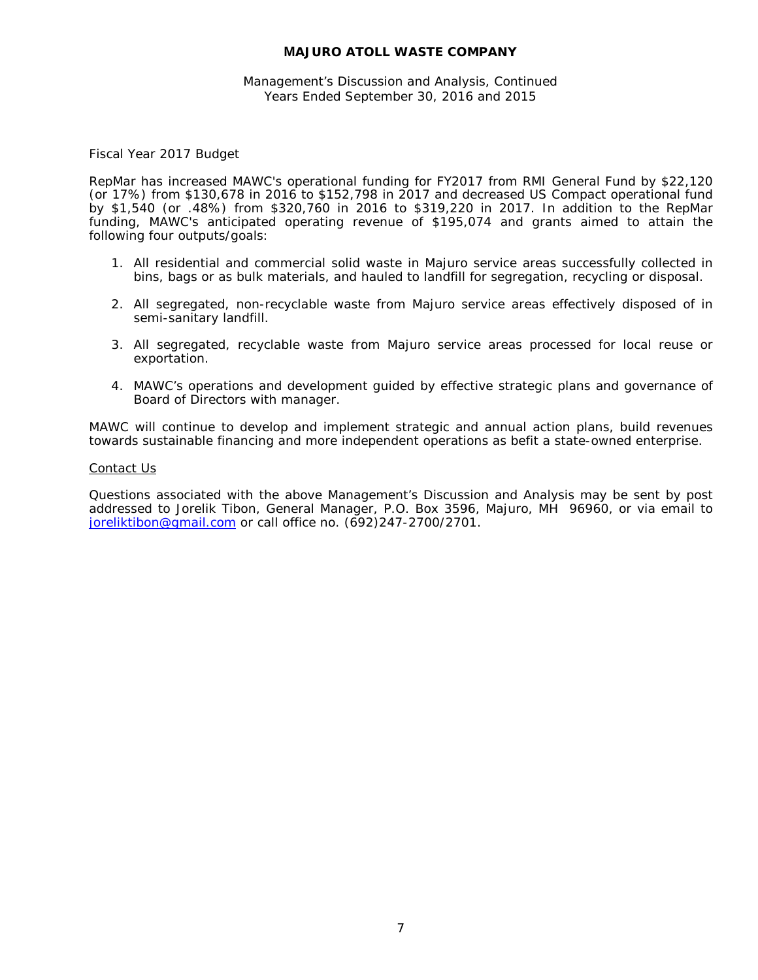## Management's Discussion and Analysis, Continued Years Ended September 30, 2016 and 2015

Fiscal Year 2017 Budget

RepMar has increased MAWC's operational funding for FY2017 from RMI General Fund by \$22,120 (or 17%) from \$130,678 in 2016 to \$152,798 in 2017 and decreased US Compact operational fund by \$1,540 (or .48%) from \$320,760 in 2016 to \$319,220 in 2017. In addition to the RepMar funding, MAWC's anticipated operating revenue of \$195,074 and grants aimed to attain the following four outputs/goals:

- 1. All residential and commercial solid waste in Majuro service areas successfully collected in bins, bags or as bulk materials, and hauled to landfill for segregation, recycling or disposal.
- 2. All segregated, non-recyclable waste from Majuro service areas effectively disposed of in semi-sanitary landfill.
- 3. All segregated, recyclable waste from Majuro service areas processed for local reuse or exportation.
- 4. MAWC's operations and development guided by effective strategic plans and governance of Board of Directors with manager.

MAWC will continue to develop and implement strategic and annual action plans, build revenues towards sustainable financing and more independent operations as befit a state-owned enterprise.

#### Contact Us

Questions associated with the above Management's Discussion and Analysis may be sent by post addressed to Jorelik Tibon, General Manager, P.O. Box 3596, Majuro, MH 96960, or via email to [joreliktibon@gmail.com](mailto:jorelik.tibon1@gmail.com) or call office no. (692)247-2700/2701.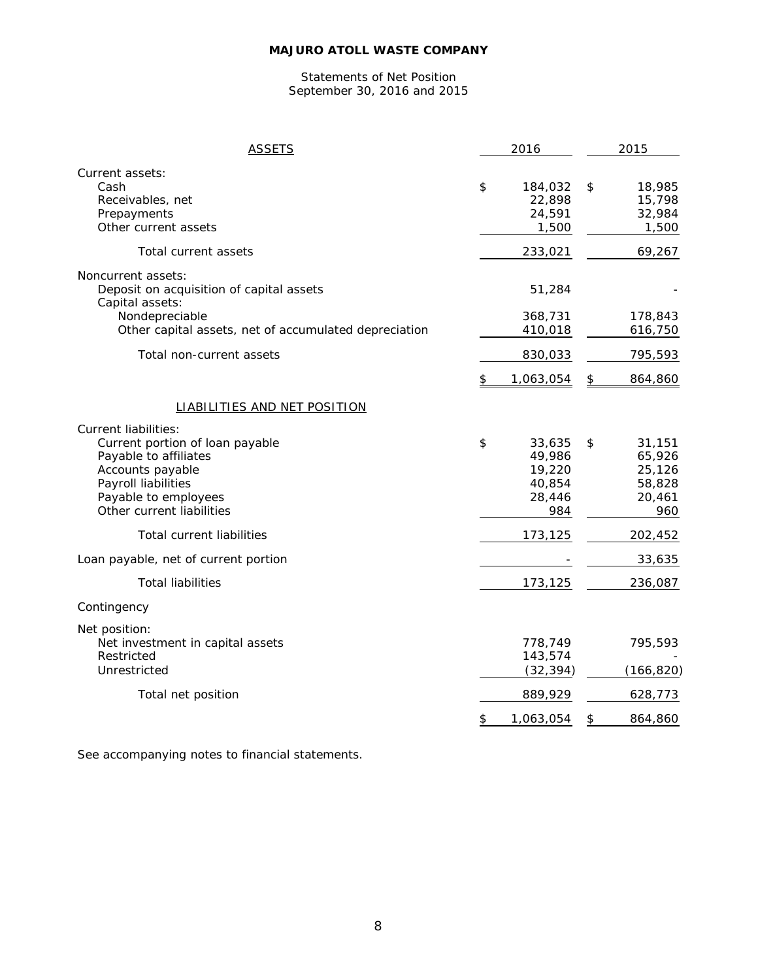#### Statements of Net Position September 30, 2016 and 2015

| <b>ASSETS</b>                                                                                                                                                                           | 2016                                                        | 2015                                                        |
|-----------------------------------------------------------------------------------------------------------------------------------------------------------------------------------------|-------------------------------------------------------------|-------------------------------------------------------------|
| Current assets:<br>Cash<br>Receivables, net<br>Prepayments<br>Other current assets                                                                                                      | \$<br>184,032<br>22,898<br>24,591<br>1,500                  | \$<br>18,985<br>15,798<br>32,984<br>1,500                   |
| Total current assets                                                                                                                                                                    | 233,021                                                     | 69,267                                                      |
| Noncurrent assets:<br>Deposit on acquisition of capital assets<br>Capital assets:<br>Nondepreciable                                                                                     | 51,284<br>368,731                                           | 178,843                                                     |
| Other capital assets, net of accumulated depreciation                                                                                                                                   | 410,018                                                     | 616,750                                                     |
| Total non-current assets                                                                                                                                                                | 830,033                                                     | 795,593                                                     |
|                                                                                                                                                                                         | \$<br>1,063,054                                             | \$<br>864,860                                               |
| LIABILITIES AND NET POSITION                                                                                                                                                            |                                                             |                                                             |
| <b>Current liabilities:</b><br>Current portion of loan payable<br>Payable to affiliates<br>Accounts payable<br>Payroll liabilities<br>Payable to employees<br>Other current liabilities | \$<br>33,635<br>49,986<br>19,220<br>40,854<br>28,446<br>984 | \$<br>31,151<br>65,926<br>25,126<br>58,828<br>20,461<br>960 |
| <b>Total current liabilities</b>                                                                                                                                                        | 173,125                                                     | 202,452                                                     |
| Loan payable, net of current portion                                                                                                                                                    |                                                             | 33,635                                                      |
| <b>Total liabilities</b>                                                                                                                                                                | 173,125                                                     | 236,087                                                     |
| Contingency                                                                                                                                                                             |                                                             |                                                             |
| Net position:<br>Net investment in capital assets<br>Restricted<br>Unrestricted                                                                                                         | 778,749<br>143,574<br>(32, 394)                             | 795,593<br>(166, 820)                                       |
| Total net position                                                                                                                                                                      | 889,929                                                     | 628,773                                                     |
|                                                                                                                                                                                         | \$<br>1,063,054                                             | \$<br>864,860                                               |
|                                                                                                                                                                                         |                                                             |                                                             |

See accompanying notes to financial statements.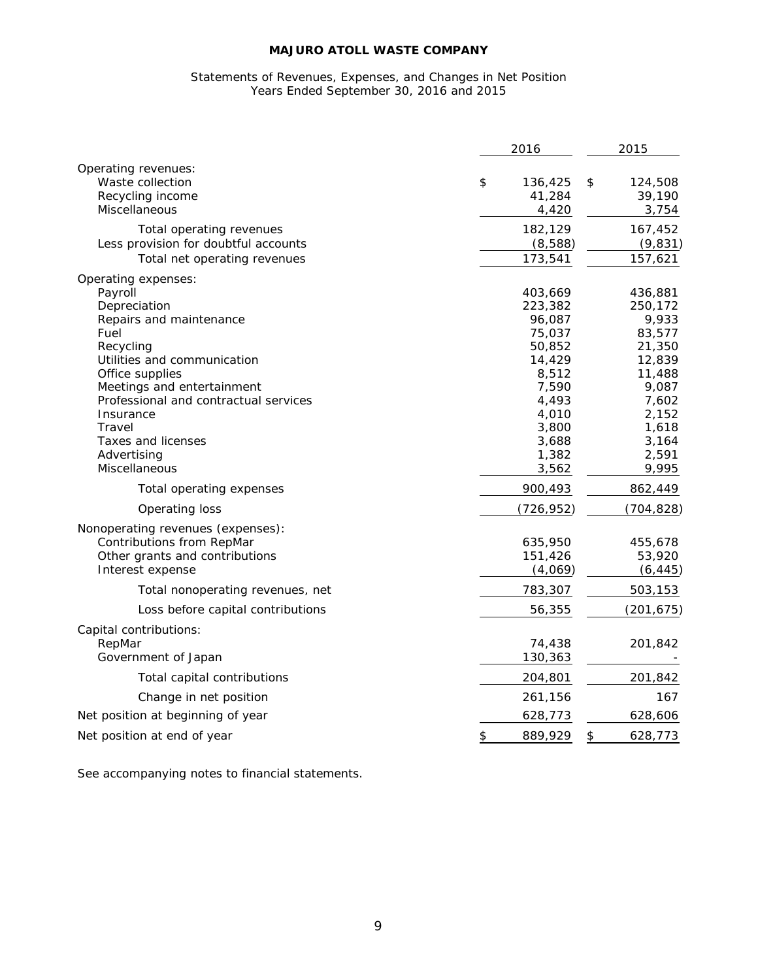#### Statements of Revenues, Expenses, and Changes in Net Position Years Ended September 30, 2016 and 2015

|                                                                                                                                                                                                                                                                                                      | 2016                                                                                                                               | 2015                                                                                                                               |  |
|------------------------------------------------------------------------------------------------------------------------------------------------------------------------------------------------------------------------------------------------------------------------------------------------------|------------------------------------------------------------------------------------------------------------------------------------|------------------------------------------------------------------------------------------------------------------------------------|--|
| Operating revenues:<br>Waste collection<br>Recycling income<br>Miscellaneous                                                                                                                                                                                                                         | \$<br>136,425<br>41,284<br>4,420                                                                                                   | 124,508<br>\$<br>39,190<br>3,754                                                                                                   |  |
| Total operating revenues<br>Less provision for doubtful accounts<br>Total net operating revenues                                                                                                                                                                                                     | 182,129<br>(8,588)<br>173,541                                                                                                      | 167,452<br>(9, 831)<br>157,621                                                                                                     |  |
| Operating expenses:<br>Payroll<br>Depreciation<br>Repairs and maintenance<br>Fuel<br>Recycling<br>Utilities and communication<br>Office supplies<br>Meetings and entertainment<br>Professional and contractual services<br>Insurance<br>Travel<br>Taxes and licenses<br>Advertising<br>Miscellaneous | 403,669<br>223,382<br>96,087<br>75,037<br>50,852<br>14,429<br>8,512<br>7,590<br>4,493<br>4,010<br>3,800<br>3,688<br>1,382<br>3,562 | 436,881<br>250,172<br>9,933<br>83,577<br>21,350<br>12,839<br>11,488<br>9,087<br>7,602<br>2,152<br>1,618<br>3,164<br>2,591<br>9,995 |  |
| Total operating expenses                                                                                                                                                                                                                                                                             | 900,493                                                                                                                            | 862,449                                                                                                                            |  |
| Operating loss                                                                                                                                                                                                                                                                                       | (726, 952)                                                                                                                         | (704, 828)                                                                                                                         |  |
| Nonoperating revenues (expenses):<br>Contributions from RepMar<br>Other grants and contributions<br>Interest expense                                                                                                                                                                                 | 635,950<br>151,426<br>(4,069)                                                                                                      | 455,678<br>53,920<br>(6, 445)                                                                                                      |  |
| Total nonoperating revenues, net                                                                                                                                                                                                                                                                     | 783,307                                                                                                                            | 503,153                                                                                                                            |  |
| Loss before capital contributions                                                                                                                                                                                                                                                                    | 56,355                                                                                                                             | (201, 675)                                                                                                                         |  |
| Capital contributions:<br>RepMar<br>Government of Japan                                                                                                                                                                                                                                              | 74,438<br>130,363                                                                                                                  | 201,842                                                                                                                            |  |
| Total capital contributions                                                                                                                                                                                                                                                                          | 204,801                                                                                                                            | 201,842                                                                                                                            |  |
| Change in net position                                                                                                                                                                                                                                                                               | 261,156                                                                                                                            | 167                                                                                                                                |  |
| Net position at beginning of year                                                                                                                                                                                                                                                                    | 628,773                                                                                                                            | 628,606                                                                                                                            |  |
| Net position at end of year                                                                                                                                                                                                                                                                          | \$<br>889,929                                                                                                                      | \$<br>628,773                                                                                                                      |  |

See accompanying notes to financial statements.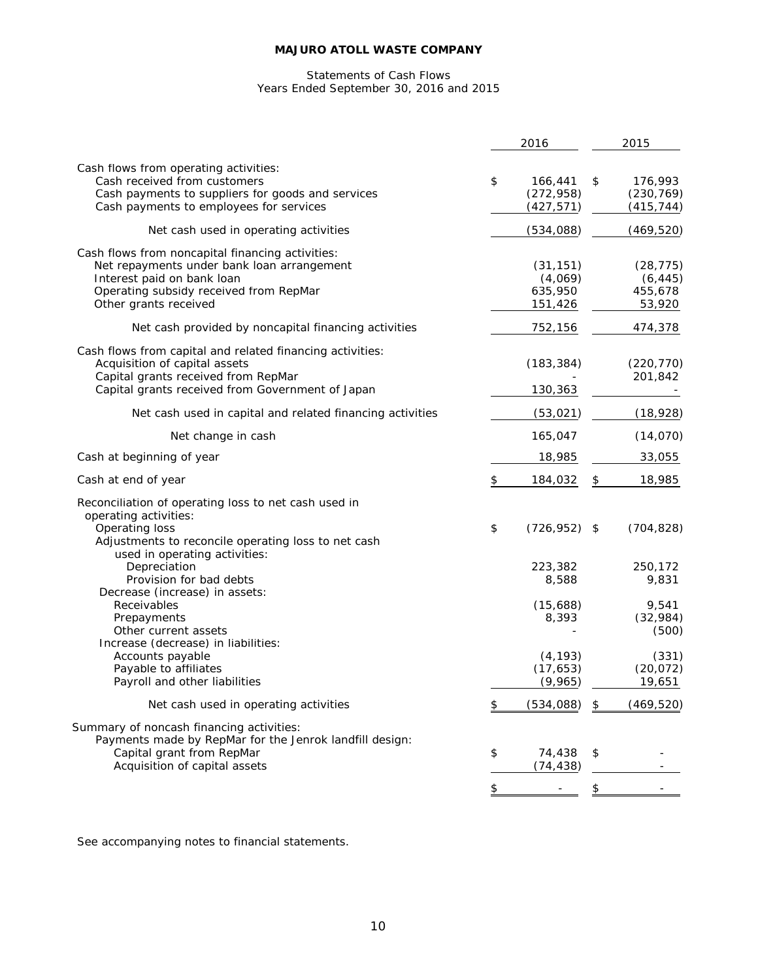#### Statements of Cash Flows Years Ended September 30, 2016 and 2015

|                                                                                                                                                                                                         |                      | 2016                                       | 2015                                       |
|---------------------------------------------------------------------------------------------------------------------------------------------------------------------------------------------------------|----------------------|--------------------------------------------|--------------------------------------------|
| Cash flows from operating activities:<br>Cash received from customers<br>Cash payments to suppliers for goods and services<br>Cash payments to employees for services                                   | \$                   | 166,441<br>(272, 958)<br>(427, 571)        | \$<br>176,993<br>(230, 769)<br>(415, 744)  |
| Net cash used in operating activities                                                                                                                                                                   |                      | (534,088)                                  | (469, 520)                                 |
| Cash flows from noncapital financing activities:<br>Net repayments under bank loan arrangement<br>Interest paid on bank loan<br>Operating subsidy received from RepMar<br>Other grants received         |                      | (31, 151)<br>(4,069)<br>635,950<br>151,426 | (28, 775)<br>(6, 445)<br>455,678<br>53,920 |
| Net cash provided by noncapital financing activities                                                                                                                                                    |                      | 752,156                                    | 474,378                                    |
| Cash flows from capital and related financing activities:<br>Acquisition of capital assets<br>Capital grants received from RepMar<br>Capital grants received from Government of Japan                   |                      | (183, 384)<br>130,363                      | (220, 770)<br>201,842                      |
| Net cash used in capital and related financing activities                                                                                                                                               |                      | (53, 021)                                  | (18, 928)                                  |
| Net change in cash                                                                                                                                                                                      |                      | 165,047                                    | (14, 070)                                  |
| Cash at beginning of year                                                                                                                                                                               |                      | 18,985                                     | 33,055                                     |
| Cash at end of year                                                                                                                                                                                     | $\pmb{\mathfrak{P}}$ | 184,032                                    | \$<br>18,985                               |
| Reconciliation of operating loss to net cash used in<br>operating activities:<br>Operating loss<br>Adjustments to reconcile operating loss to net cash<br>used in operating activities:<br>Depreciation | \$                   | (726, 952)<br>223,382                      | \$<br>(704, 828)<br>250,172                |
| Provision for bad debts<br>Decrease (increase) in assets:<br>Receivables                                                                                                                                |                      | 8,588<br>(15,688)                          | 9,831<br>9,541                             |
| Prepayments<br>Other current assets<br>Increase (decrease) in liabilities:                                                                                                                              |                      | 8,393                                      | (32,984)<br>(500)                          |
| Accounts payable<br>Payable to affiliates<br>Payroll and other liabilities                                                                                                                              |                      | (4, 193)<br>(17, 653)<br>(9,965)           | (331)<br>(20, 072)<br>19,651               |
| Net cash used in operating activities                                                                                                                                                                   | \$                   | (534, 088)                                 | \$<br>(469, 520)                           |
| Summary of noncash financing activities:<br>Payments made by RepMar for the Jenrok landfill design:<br>Capital grant from RepMar<br>Acquisition of capital assets                                       | \$                   | 74,438<br>(74, 438)                        | \$                                         |
|                                                                                                                                                                                                         | \$                   |                                            | \$                                         |

See accompanying notes to financial statements.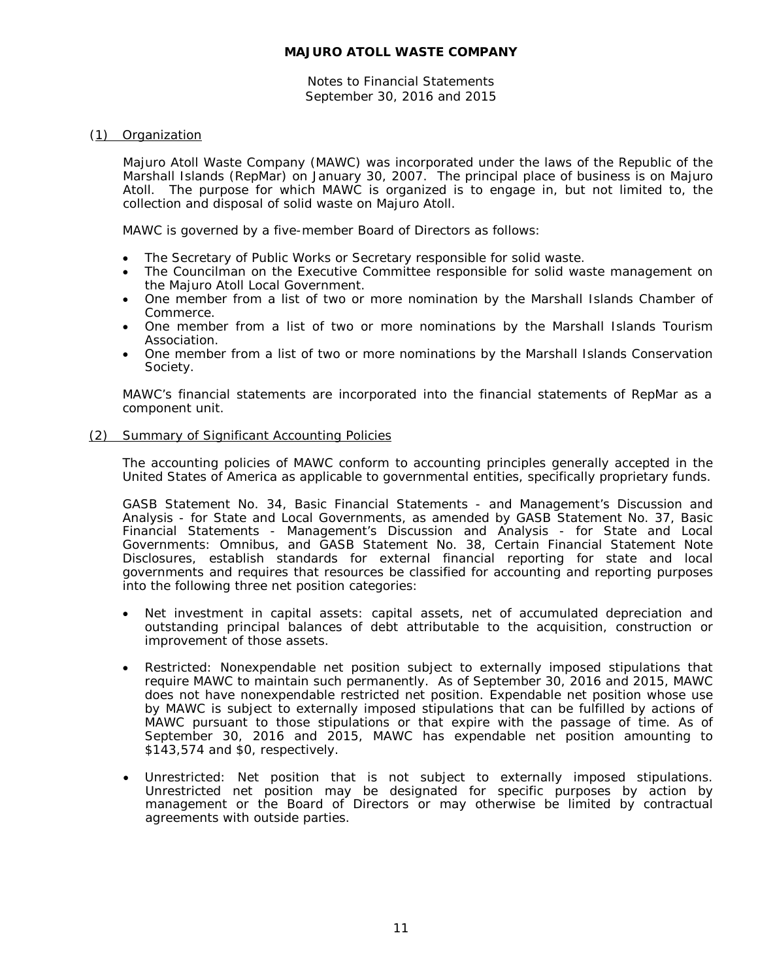Notes to Financial Statements September 30, 2016 and 2015

## (1) Organization

Majuro Atoll Waste Company (MAWC) was incorporated under the laws of the Republic of the Marshall Islands (RepMar) on January 30, 2007. The principal place of business is on Majuro Atoll. The purpose for which MAWC is organized is to engage in, but not limited to, the collection and disposal of solid waste on Majuro Atoll.

MAWC is governed by a five-member Board of Directors as follows:

- The Secretary of Public Works or Secretary responsible for solid waste.
- The Councilman on the Executive Committee responsible for solid waste management on the Majuro Atoll Local Government.
- One member from a list of two or more nomination by the Marshall Islands Chamber of Commerce.
- One member from a list of two or more nominations by the Marshall Islands Tourism Association.
- One member from a list of two or more nominations by the Marshall Islands Conservation Society.

MAWC's financial statements are incorporated into the financial statements of RepMar as a component unit.

## (2) Summary of Significant Accounting Policies

The accounting policies of MAWC conform to accounting principles generally accepted in the United States of America as applicable to governmental entities, specifically proprietary funds.

GASB Statement No. 34, *Basic Financial Statements - and Management's Discussion and Analysis - for State and Local Governments*, as amended by GASB Statement No. 37, *Basic Financial Statements - Management's Discussion and Analysis - for State and Local Governments: Omnibus*, and GASB Statement No. 38, *Certain Financial Statement Note Disclosures*, establish standards for external financial reporting for state and local governments and requires that resources be classified for accounting and reporting purposes into the following three net position categories:

- Net investment in capital assets: capital assets, net of accumulated depreciation and outstanding principal balances of debt attributable to the acquisition, construction or improvement of those assets.
- Restricted: Nonexpendable net position subject to externally imposed stipulations that require MAWC to maintain such permanently. As of September 30, 2016 and 2015, MAWC does not have nonexpendable restricted net position. Expendable net position whose use by MAWC is subject to externally imposed stipulations that can be fulfilled by actions of MAWC pursuant to those stipulations or that expire with the passage of time. As of September 30, 2016 and 2015, MAWC has expendable net position amounting to \$143,574 and \$0, respectively.
- Unrestricted: Net position that is not subject to externally imposed stipulations. Unrestricted net position may be designated for specific purposes by action by management or the Board of Directors or may otherwise be limited by contractual agreements with outside parties.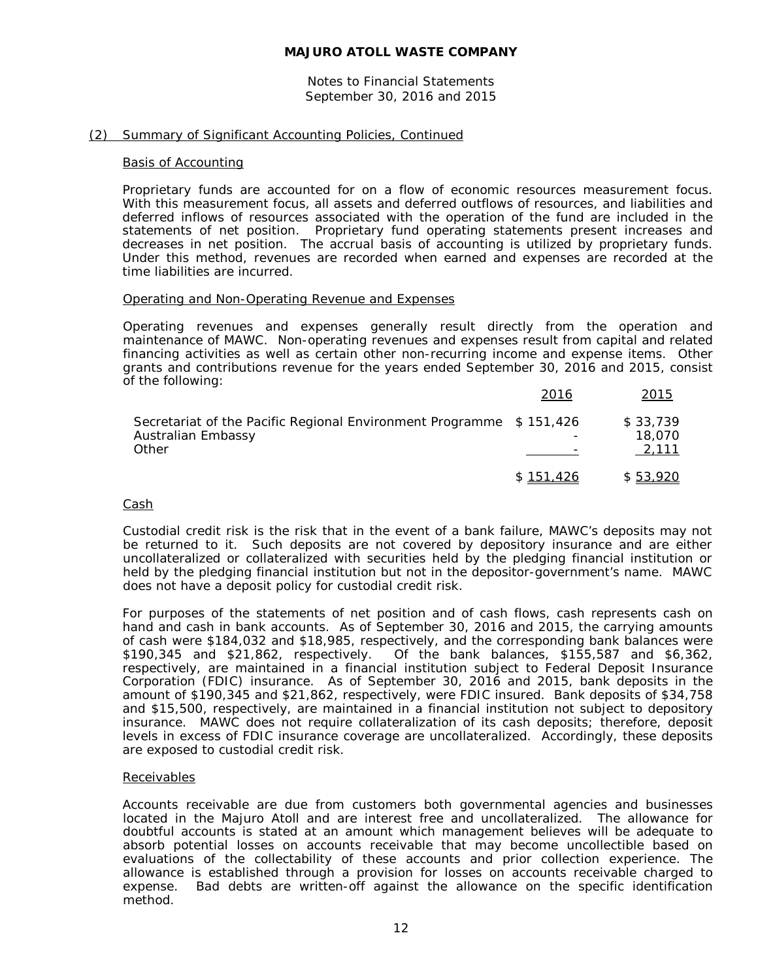Notes to Financial Statements September 30, 2016 and 2015

## (2) Summary of Significant Accounting Policies, Continued

#### Basis of Accounting

Proprietary funds are accounted for on a flow of economic resources measurement focus. With this measurement focus, all assets and deferred outflows of resources, and liabilities and deferred inflows of resources associated with the operation of the fund are included in the statements of net position. Proprietary fund operating statements present increases and decreases in net position. The accrual basis of accounting is utilized by proprietary funds. Under this method, revenues are recorded when earned and expenses are recorded at the time liabilities are incurred.

## Operating and Non-Operating Revenue and Expenses

Operating revenues and expenses generally result directly from the operation and maintenance of MAWC. Non-operating revenues and expenses result from capital and related financing activities as well as certain other non-recurring income and expense items. Other grants and contributions revenue for the years ended September 30, 2016 and 2015, consist of the following:

|                                                                                                    | 2016      | 2015                        |
|----------------------------------------------------------------------------------------------------|-----------|-----------------------------|
| Secretariat of the Pacific Regional Environment Programme \$151,426<br>Australian Embassy<br>Other |           | \$33.739<br>18.070<br>2.111 |
|                                                                                                    | \$151.426 | \$53,920                    |

#### Cash

Custodial credit risk is the risk that in the event of a bank failure, MAWC's deposits may not be returned to it. Such deposits are not covered by depository insurance and are either uncollateralized or collateralized with securities held by the pledging financial institution or held by the pledging financial institution but not in the depositor-government's name. MAWC does not have a deposit policy for custodial credit risk.

For purposes of the statements of net position and of cash flows, cash represents cash on hand and cash in bank accounts. As of September 30, 2016 and 2015, the carrying amounts of cash were \$184,032 and \$18,985, respectively, and the corresponding bank balances were \$190,345 and \$21,862, respectively. Of the bank balances, \$155,587 and \$6,362, respectively, are maintained in a financial institution subject to Federal Deposit Insurance Corporation (FDIC) insurance. As of September 30, 2016 and 2015, bank deposits in the amount of \$190,345 and \$21,862, respectively, were FDIC insured. Bank deposits of \$34,758 and \$15,500, respectively, are maintained in a financial institution not subject to depository insurance. MAWC does not require collateralization of its cash deposits; therefore, deposit levels in excess of FDIC insurance coverage are uncollateralized. Accordingly, these deposits are exposed to custodial credit risk.

## Receivables

Accounts receivable are due from customers both governmental agencies and businesses located in the Majuro Atoll and are interest free and uncollateralized. The allowance for doubtful accounts is stated at an amount which management believes will be adequate to absorb potential losses on accounts receivable that may become uncollectible based on evaluations of the collectability of these accounts and prior collection experience. The allowance is established through a provision for losses on accounts receivable charged to expense. Bad debts are written-off against the allowance on the specific identification method.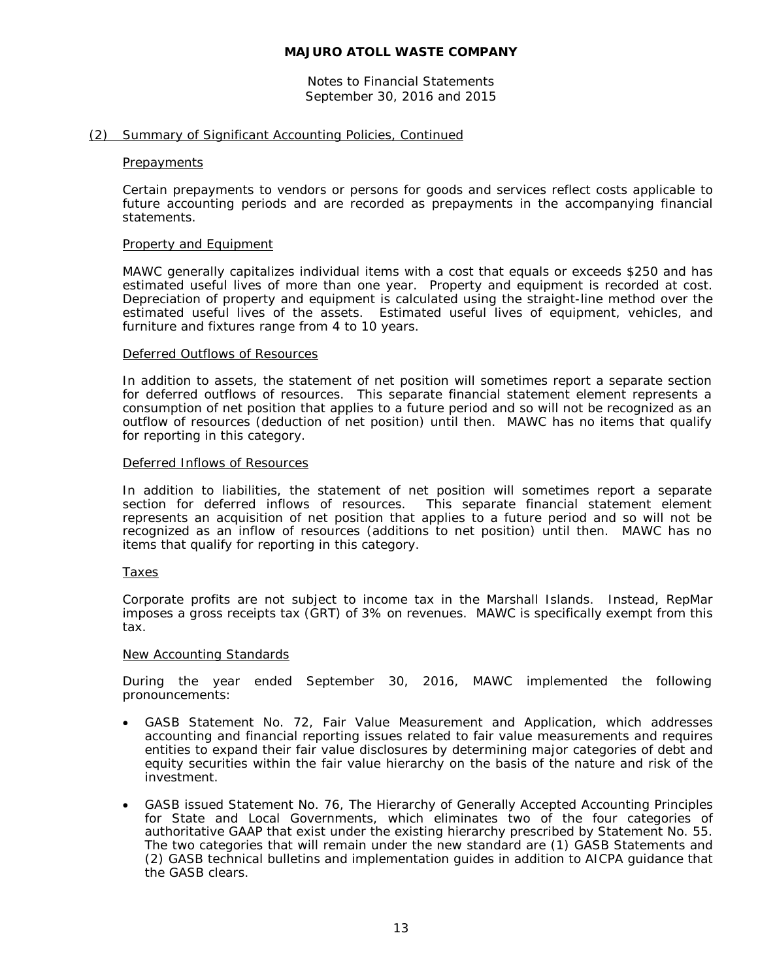Notes to Financial Statements September 30, 2016 and 2015

## (2) Summary of Significant Accounting Policies, Continued

#### **Prepayments**

Certain prepayments to vendors or persons for goods and services reflect costs applicable to future accounting periods and are recorded as prepayments in the accompanying financial statements.

#### Property and Equipment

MAWC generally capitalizes individual items with a cost that equals or exceeds \$250 and has estimated useful lives of more than one year. Property and equipment is recorded at cost. Depreciation of property and equipment is calculated using the straight-line method over the estimated useful lives of the assets. Estimated useful lives of equipment, vehicles, and furniture and fixtures range from 4 to 10 years.

## Deferred Outflows of Resources

In addition to assets, the statement of net position will sometimes report a separate section for deferred outflows of resources. This separate financial statement element represents a consumption of net position that applies to a future period and so will not be recognized as an outflow of resources (deduction of net position) until then. MAWC has no items that qualify for reporting in this category.

#### Deferred Inflows of Resources

In addition to liabilities, the statement of net position will sometimes report a separate section for deferred inflows of resources. This separate financial statement element represents an acquisition of net position that applies to a future period and so will not be recognized as an inflow of resources (additions to net position) until then. MAWC has no items that qualify for reporting in this category.

## Taxes

Corporate profits are not subject to income tax in the Marshall Islands. Instead, RepMar imposes a gross receipts tax (GRT) of 3% on revenues. MAWC is specifically exempt from this tax.

#### New Accounting Standards

During the year ended September 30, 2016, MAWC implemented the following pronouncements:

- GASB Statement No. 72, *Fair Value Measurement and Application*, which addresses accounting and financial reporting issues related to fair value measurements and requires entities to expand their fair value disclosures by determining major categories of debt and equity securities within the fair value hierarchy on the basis of the nature and risk of the investment.
- GASB issued Statement No. 76, *The Hierarchy of Generally Accepted Accounting Principles for State and Local Governments*, which eliminates two of the four categories of authoritative GAAP that exist under the existing hierarchy prescribed by Statement No. 55. The two categories that will remain under the new standard are (1) GASB Statements and (2) GASB technical bulletins and implementation guides in addition to AICPA guidance that the GASB clears.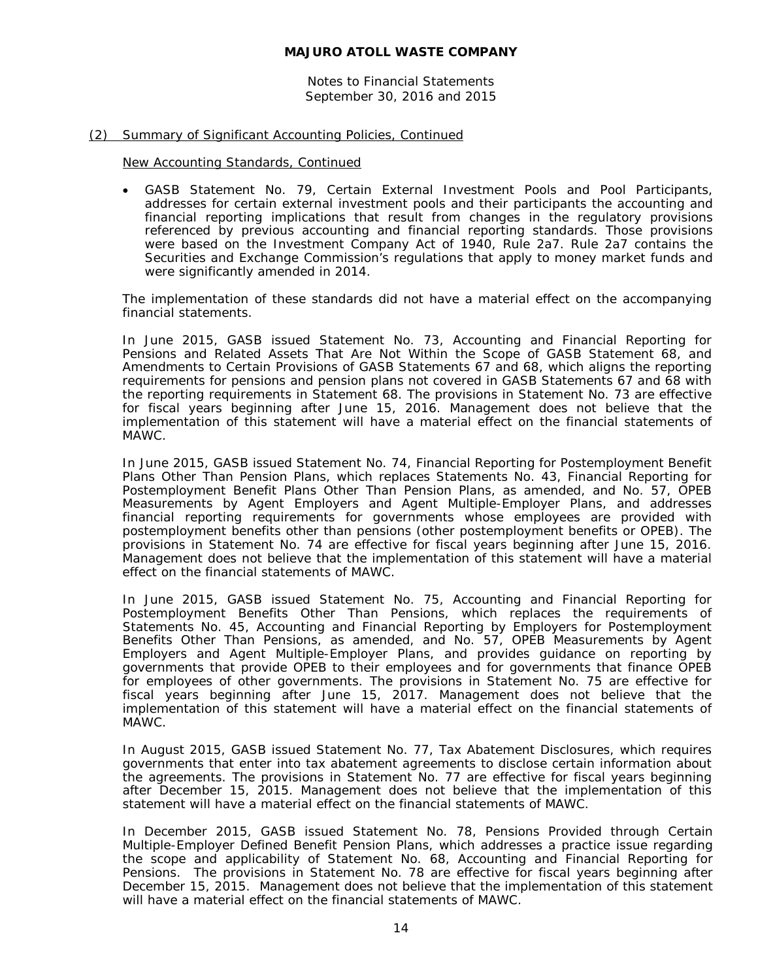Notes to Financial Statements September 30, 2016 and 2015

## (2) Summary of Significant Accounting Policies, Continued

New Accounting Standards, Continued

• GASB Statement No. 79, *Certain External Investment Pools and Pool Participants*, addresses for certain external investment pools and their participants the accounting and financial reporting implications that result from changes in the regulatory provisions referenced by previous accounting and financial reporting standards. Those provisions were based on the Investment Company Act of 1940, Rule 2a7. Rule 2a7 contains the Securities and Exchange Commission's regulations that apply to money market funds and were significantly amended in 2014.

The implementation of these standards did not have a material effect on the accompanying financial statements.

In June 2015, GASB issued Statement No. 73, *Accounting and Financial Reporting for Pensions and Related Assets That Are Not Within the Scope of GASB Statement 68, and Amendments to Certain Provisions of GASB Statements 67 and 68*, which aligns the reporting requirements for pensions and pension plans not covered in GASB Statements 67 and 68 with the reporting requirements in Statement 68. The provisions in Statement No. 73 are effective for fiscal years beginning after June 15, 2016. Management does not believe that the implementation of this statement will have a material effect on the financial statements of MAWC.

In June 2015, GASB issued Statement No. 74, *Financial Reporting for Postemployment Benefit Plans Other Than Pension Plans*, which replaces Statements No. 43, *Financial Reporting for Postemployment Benefit Plans Other Than Pension Plans, as amended*, and No. 57, *OPEB Measurements by Agent Employers and Agent Multiple-Employer Plans*, and addresses financial reporting requirements for governments whose employees are provided with postemployment benefits other than pensions (other postemployment benefits or OPEB). The provisions in Statement No. 74 are effective for fiscal years beginning after June 15, 2016. Management does not believe that the implementation of this statement will have a material effect on the financial statements of MAWC.

In June 2015, GASB issued Statement No. 75, *Accounting and Financial Reporting for Postemployment Benefits Other Than Pensions*, which replaces the requirements of Statements No. 45, *Accounting and Financial Reporting by Employers for Postemployment Benefits Other Than Pensions, as amended*, and No. 57, *OPEB Measurements by Agent Employers and Agent Multiple-Employer Plans*, and provides guidance on reporting by governments that provide OPEB to their employees and for governments that finance OPEB for employees of other governments. The provisions in Statement No. 75 are effective for fiscal years beginning after June 15, 2017. Management does not believe that the implementation of this statement will have a material effect on the financial statements of MAWC.

In August 2015, GASB issued Statement No. 77, *Tax Abatement Disclosures*, which requires governments that enter into tax abatement agreements to disclose certain information about the agreements. The provisions in Statement No. 77 are effective for fiscal years beginning after December 15, 2015. Management does not believe that the implementation of this statement will have a material effect on the financial statements of MAWC.

In December 2015, GASB issued Statement No. 78, *Pensions Provided through Certain Multiple-Employer Defined Benefit Pension Plans*, which addresses a practice issue regarding the scope and applicability of Statement No. 68, *Accounting and Financial Reporting for Pensions*. The provisions in Statement No. 78 are effective for fiscal years beginning after December 15, 2015. Management does not believe that the implementation of this statement will have a material effect on the financial statements of MAWC.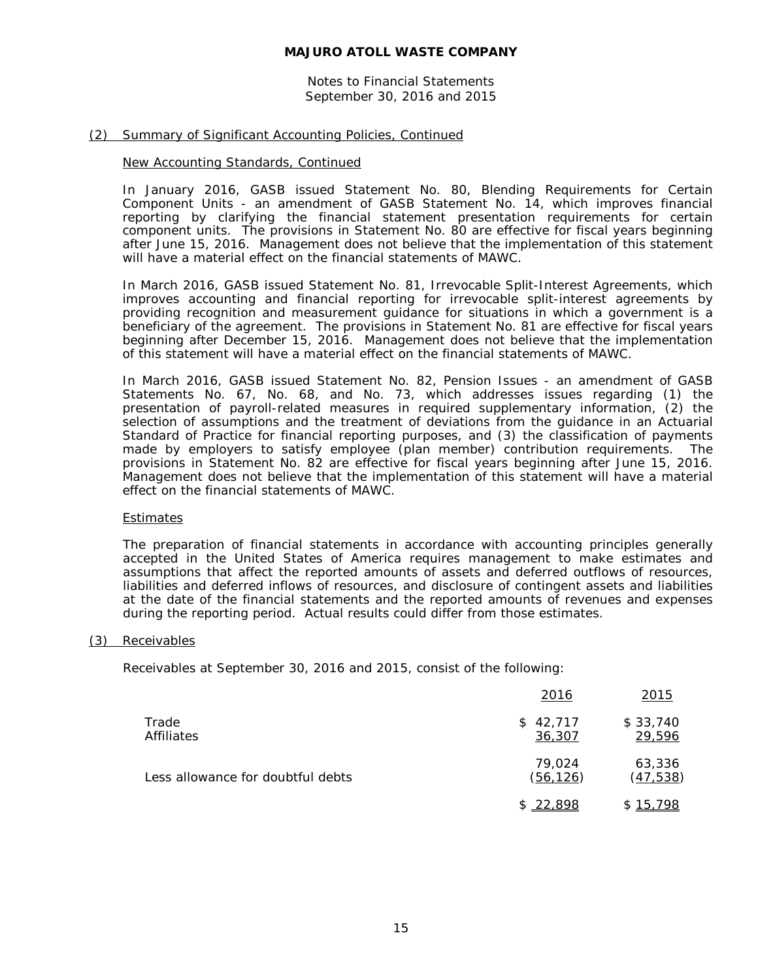Notes to Financial Statements September 30, 2016 and 2015

## (2) Summary of Significant Accounting Policies, Continued

## New Accounting Standards, Continued

In January 2016, GASB issued Statement No. 80, *Blending Requirements for Certain Component Units - an amendment of GASB Statement No. 14*, which improves financial reporting by clarifying the financial statement presentation requirements for certain component units. The provisions in Statement No. 80 are effective for fiscal years beginning after June 15, 2016. Management does not believe that the implementation of this statement will have a material effect on the financial statements of MAWC.

In March 2016, GASB issued Statement No. 81, *Irrevocable Split-Interest Agreements*, which improves accounting and financial reporting for irrevocable split-interest agreements by providing recognition and measurement guidance for situations in which a government is a beneficiary of the agreement. The provisions in Statement No. 81 are effective for fiscal years beginning after December 15, 2016. Management does not believe that the implementation of this statement will have a material effect on the financial statements of MAWC.

In March 2016, GASB issued Statement No. 82, *Pension Issues - an amendment of GASB Statements No. 67, No. 68, and No. 73*, which addresses issues regarding (1) the presentation of payroll-related measures in required supplementary information, (2) the selection of assumptions and the treatment of deviations from the guidance in an Actuarial Standard of Practice for financial reporting purposes, and (3) the classification of payments made by employers to satisfy employee (plan member) contribution requirements. The provisions in Statement No. 82 are effective for fiscal years beginning after June 15, 2016. Management does not believe that the implementation of this statement will have a material effect on the financial statements of MAWC.

## **Estimates**

The preparation of financial statements in accordance with accounting principles generally accepted in the United States of America requires management to make estimates and assumptions that affect the reported amounts of assets and deferred outflows of resources, liabilities and deferred inflows of resources, and disclosure of contingent assets and liabilities at the date of the financial statements and the reported amounts of revenues and expenses during the reporting period. Actual results could differ from those estimates.

## (3) Receivables

Receivables at September 30, 2016 and 2015, consist of the following:

|                                   | 2016                | 2015                |
|-----------------------------------|---------------------|---------------------|
| Trade<br>Affiliates               | \$42,717<br>36,307  | \$33,740<br>29,596  |
| Less allowance for doubtful debts | 79.024<br>(56, 126) | 63,336<br>(47, 538) |
|                                   | \$22,898            | S.,<br>798<br>15,   |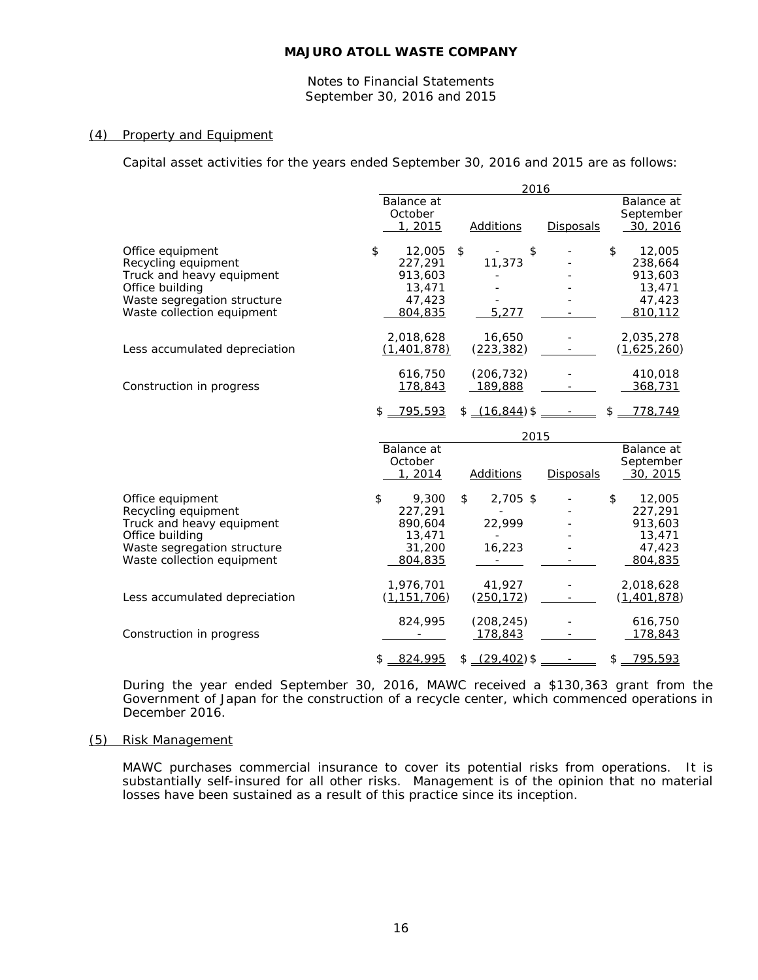Notes to Financial Statements September 30, 2016 and 2015

#### (4) Property and Equipment

Capital asset activities for the years ended September 30, 2016 and 2015 are as follows:

|                                                                                                                                                      |                                                                   | 2016                                                    |                  |                                                                   |  |  |
|------------------------------------------------------------------------------------------------------------------------------------------------------|-------------------------------------------------------------------|---------------------------------------------------------|------------------|-------------------------------------------------------------------|--|--|
|                                                                                                                                                      | Balance at<br>October<br>1, 2015                                  | <b>Additions</b>                                        | <b>Disposals</b> | Balance at<br>September<br>30, 2016                               |  |  |
| Office equipment<br>Recycling equipment<br>Truck and heavy equipment<br>Office building<br>Waste segregation structure<br>Waste collection equipment | 12,005<br>\$<br>227.291<br>913,603<br>13,471<br>47,423<br>804,835 | \$<br>\$<br><b>Contract Contract</b><br>11,373<br>5,277 |                  | 12,005<br>\$<br>238,664<br>913,603<br>13,471<br>47,423<br>810,112 |  |  |
| Less accumulated depreciation                                                                                                                        | 2,018,628<br>(1,401,878)                                          | 16,650<br>(223, 382)                                    |                  | 2,035,278<br>(1,625,260)                                          |  |  |
| Construction in progress                                                                                                                             | 616,750<br>178,843                                                | (206, 732)<br>189,888                                   |                  | 410,018<br>368,731                                                |  |  |
|                                                                                                                                                      | $$ -795,593$<br>Balance at<br>October<br>1, 2014                  | 2015<br><b>Additions</b>                                | <b>Disposals</b> | $$ -778,749$<br>Balance at<br>September<br><u>30, 2015</u>        |  |  |
| Office equipment<br>Recycling equipment<br>Truck and heavy equipment<br>Office building<br>Waste segregation structure<br>Waste collection equipment | \$<br>9,300<br>227,291<br>890,604<br>13,471<br>31,200<br>804,835  | \$<br>2,705 \$<br>22,999<br>$\mathbf{r}$<br>16,223      |                  | \$<br>12,005<br>227,291<br>913,603<br>13,471<br>47,423<br>804,835 |  |  |
| Less accumulated depreciation                                                                                                                        | 1,976,701<br>(1, 151, 706)                                        | 41,927<br>(250, 172)                                    |                  | 2,018,628<br>(1,401,878)                                          |  |  |
| Construction in progress                                                                                                                             | 824,995                                                           | (208, 245)<br>178,843                                   |                  | 616,750<br>178,843                                                |  |  |
|                                                                                                                                                      | 824,995<br>\$                                                     | $$-(29,402)*$ -                                         |                  | \$795,593                                                         |  |  |

During the year ended September 30, 2016, MAWC received a \$130,363 grant from the Government of Japan for the construction of a recycle center, which commenced operations in December 2016.

#### (5) Risk Management

MAWC purchases commercial insurance to cover its potential risks from operations. It is substantially self-insured for all other risks. Management is of the opinion that no material losses have been sustained as a result of this practice since its inception.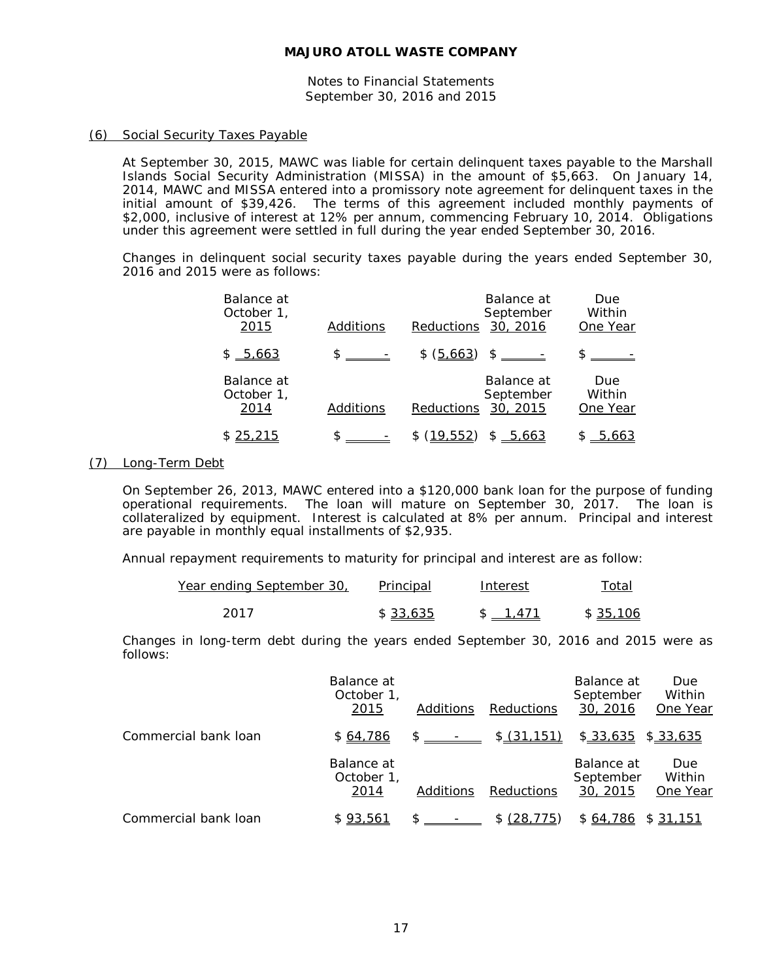Notes to Financial Statements September 30, 2016 and 2015

## (6) Social Security Taxes Payable

At September 30, 2015, MAWC was liable for certain delinquent taxes payable to the Marshall Islands Social Security Administration (MISSA) in the amount of \$5,663. On January 14, 2014, MAWC and MISSA entered into a promissory note agreement for delinquent taxes in the initial amount of \$39,426. The terms of this agreement included monthly payments of \$2,000, inclusive of interest at 12% per annum, commencing February 10, 2014. Obligations under this agreement were settled in full during the year ended September 30, 2016.

Changes in delinquent social security taxes payable during the years ended September 30, 2016 and 2015 were as follows:

| Balance at<br>October 1,<br>2015 | Additions | Reductions | Balance at<br>September<br>30, 2016 | Due<br>Within<br>One Year |
|----------------------------------|-----------|------------|-------------------------------------|---------------------------|
| \$ 5,663                         |           | \$ (5,663) | $\frac{1}{2}$                       |                           |
| Balance at<br>October 1,<br>2014 | Additions | Reductions | Balance at<br>September<br>30, 2015 | Due<br>Within<br>One Year |
| 25,215                           |           | (19.552)   | \$5.663                             | <u>5</u>                  |

## (7) Long-Term Debt

On September 26, 2013, MAWC entered into a \$120,000 bank loan for the purpose of funding operational requirements. The loan will mature on September 30, 2017. The loan is collateralized by equipment. Interest is calculated at 8% per annum. Principal and interest are payable in monthly equal installments of \$2,935.

Annual repayment requirements to maturity for principal and interest are as follow:

| Year ending September 30, | <b>Principal</b> | Interest | Total    |
|---------------------------|------------------|----------|----------|
| 2017                      | \$33.635         | \$ 1.471 | \$35,106 |

Changes in long-term debt during the years ended September 30, 2016 and 2015 were as follows:

|                      | Balance at<br>October 1,<br>2015 | Additions      | <b>Reductions</b> | Balance at<br>September<br>30, 2016 | Due<br>Within<br>One Year |
|----------------------|----------------------------------|----------------|-------------------|-------------------------------------|---------------------------|
| Commercial bank loan | \$64,786                         | $\mathbb{S}$ - | \$(31,151)        | \$33,635                            | \$33,635                  |
|                      | Balance at<br>October 1,<br>2014 | Additions      | <b>Reductions</b> | Balance at<br>September<br>30, 2015 | Due<br>Within<br>One Year |
| Commercial bank loan | \$93,561                         |                | \$ (28, 775)      | \$64,786                            | \$31,151                  |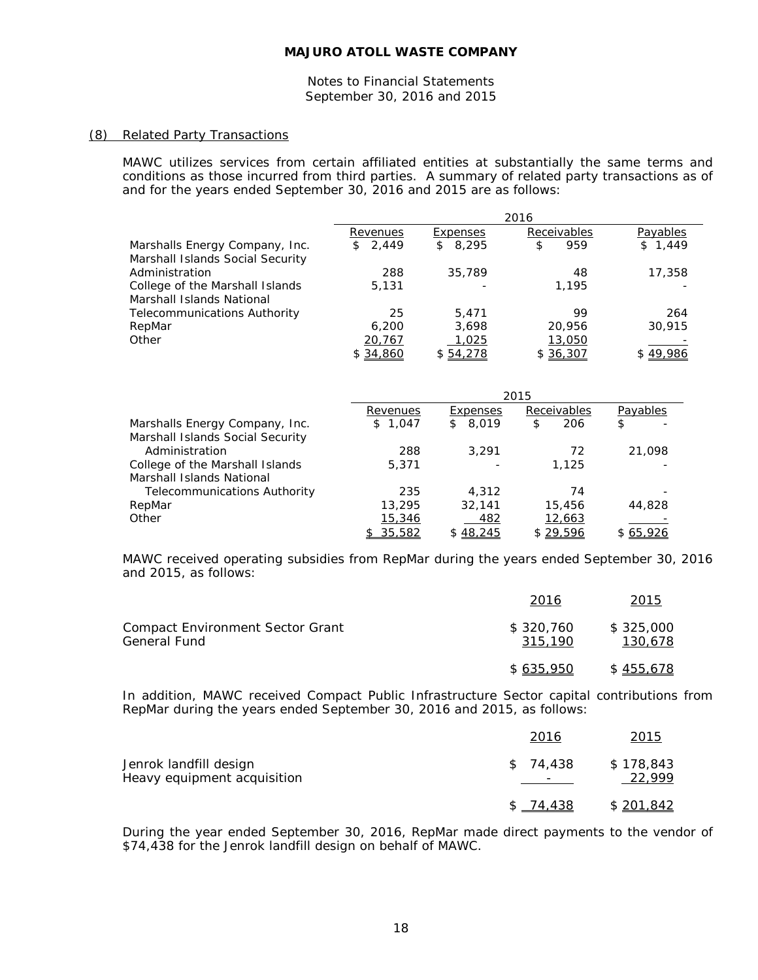Notes to Financial Statements September 30, 2016 and 2015

#### (8) Related Party Transactions

MAWC utilizes services from certain affiliated entities at substantially the same terms and conditions as those incurred from third parties. A summary of related party transactions as of and for the years ended September 30, 2016 and 2015 are as follows:

|                                     | 2016     |                       |             |          |
|-------------------------------------|----------|-----------------------|-------------|----------|
|                                     | Revenues | Expenses              | Receivables | Payables |
| Marshalls Energy Company, Inc.      | \$2,449  | 8,295<br>$\mathbb{S}$ | 959<br>\$   | \$1,449  |
| Marshall Islands Social Security    |          |                       |             |          |
| Administration                      | 288      | 35,789                | 48          | 17,358   |
| College of the Marshall Islands     | 5,131    |                       | 1,195       |          |
| Marshall Islands National           |          |                       |             |          |
| <b>Telecommunications Authority</b> | 25       | 5,471                 | 99          | 264      |
| RepMar                              | 6,200    | 3.698                 | 20,956      | 30,915   |
| Other                               | 20,767   | 1,025                 | 13,050      |          |
|                                     | \$34.860 | \$54.278              | \$36.307    | \$49.986 |

|                                     | 2015     |             |                    |           |
|-------------------------------------|----------|-------------|--------------------|-----------|
|                                     | Revenues | Expenses    | <b>Receivables</b> | Payables  |
| Marshalls Energy Company, Inc.      | \$1,047  | 8,019<br>\$ | 206<br>\$          | \$        |
| Marshall Islands Social Security    |          |             |                    |           |
| Administration                      | 288      | 3.291       | 72                 | 21,098    |
| College of the Marshall Islands     | 5,371    |             | 1.125              |           |
| Marshall Islands National           |          |             |                    |           |
| <b>Telecommunications Authority</b> | 235      | 4,312       | 74                 |           |
| RepMar                              | 13,295   | 32.141      | 15,456             | 44,828    |
| Other                               | 15,346   | 482         | 12,663             |           |
|                                     | \$35,582 | \$48,245    | \$29,596           | \$ 65,926 |

MAWC received operating subsidies from RepMar during the years ended September 30, 2016 and 2015, as follows:

|                                                         | 2016                 | 2015                 |
|---------------------------------------------------------|----------------------|----------------------|
| <b>Compact Environment Sector Grant</b><br>General Fund | \$320.760<br>315.190 | \$325,000<br>130.678 |
|                                                         | \$635,950            | \$455,678            |

In addition, MAWC received Compact Public Infrastructure Sector capital contributions from RepMar during the years ended September 30, 2016 and 2015, as follows:

|                                                       | 2016                                 | 2015                |
|-------------------------------------------------------|--------------------------------------|---------------------|
| Jenrok landfill design<br>Heavy equipment acquisition | \$74.438<br>$\overline{\phantom{0}}$ | \$178,843<br>22,999 |
|                                                       | \$ 74.438                            | \$201.842           |

During the year ended September 30, 2016, RepMar made direct payments to the vendor of \$74,438 for the Jenrok landfill design on behalf of MAWC.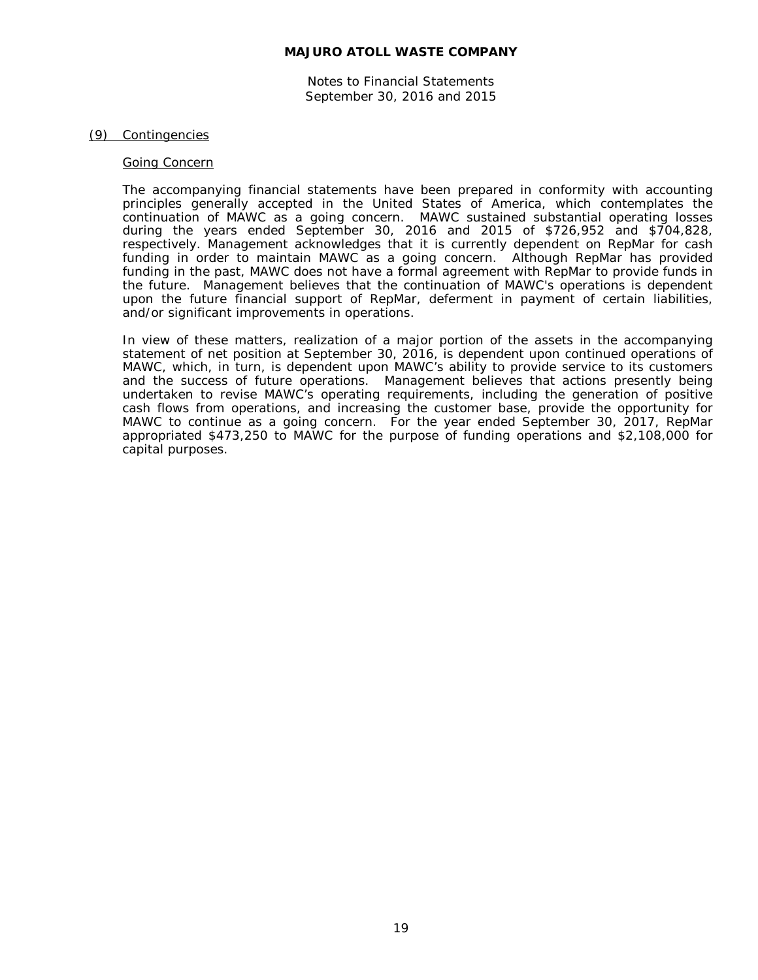Notes to Financial Statements September 30, 2016 and 2015

#### (9) Contingencies

#### Going Concern

The accompanying financial statements have been prepared in conformity with accounting principles generally accepted in the United States of America, which contemplates the continuation of MAWC as a going concern. MAWC sustained substantial operating losses during the years ended September 30, 2016 and 2015 of \$726,952 and \$704,828, respectively. Management acknowledges that it is currently dependent on RepMar for cash funding in order to maintain MAWC as a going concern. Although RepMar has provided funding in the past, MAWC does not have a formal agreement with RepMar to provide funds in the future. Management believes that the continuation of MAWC's operations is dependent upon the future financial support of RepMar, deferment in payment of certain liabilities, and/or significant improvements in operations.

In view of these matters, realization of a major portion of the assets in the accompanying statement of net position at September 30, 2016, is dependent upon continued operations of MAWC, which, in turn, is dependent upon MAWC's ability to provide service to its customers and the success of future operations. Management believes that actions presently being undertaken to revise MAWC's operating requirements, including the generation of positive cash flows from operations, and increasing the customer base, provide the opportunity for MAWC to continue as a going concern. For the year ended September 30, 2017, RepMar appropriated \$473,250 to MAWC for the purpose of funding operations and \$2,108,000 for capital purposes.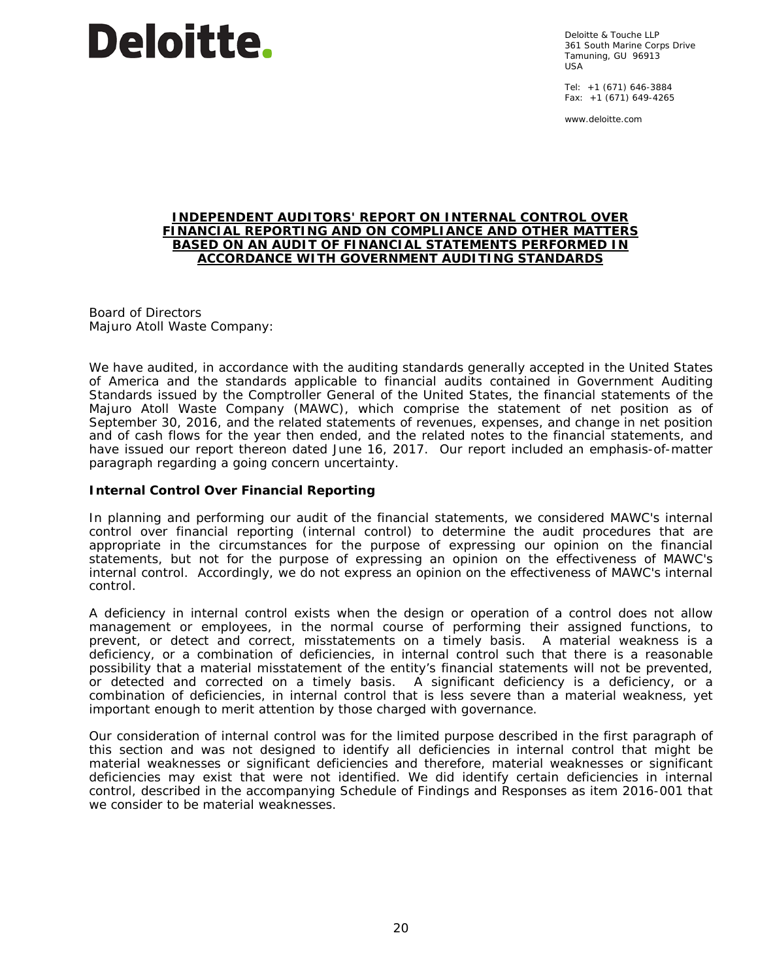

Deloitte & Touche LLP 361 South Marine Corps Drive Tamuning, GU 96913 USA

Tel: +1 (671) 646-3884 Fax: +1 (671) 649-4265

www.deloitte.com

#### **INDEPENDENT AUDITORS' REPORT ON INTERNAL CONTROL OVER FINANCIAL REPORTING AND ON COMPLIANCE AND OTHER MATTERS BASED ON AN AUDIT OF FINANCIAL STATEMENTS PERFORMED IN ACCORDANCE WITH** *GOVERNMENT AUDITING STANDARDS*

Board of Directors Majuro Atoll Waste Company:

We have audited, in accordance with the auditing standards generally accepted in the United States of America and the standards applicable to financial audits contained in *Government Auditing Standards* issued by the Comptroller General of the United States, the financial statements of the Majuro Atoll Waste Company (MAWC), which comprise the statement of net position as of September 30, 2016, and the related statements of revenues, expenses, and change in net position and of cash flows for the year then ended, and the related notes to the financial statements, and have issued our report thereon dated June 16, 2017. Our report included an emphasis-of-matter paragraph regarding a going concern uncertainty.

## **Internal Control Over Financial Reporting**

In planning and performing our audit of the financial statements, we considered MAWC's internal control over financial reporting (internal control) to determine the audit procedures that are appropriate in the circumstances for the purpose of expressing our opinion on the financial statements, but not for the purpose of expressing an opinion on the effectiveness of MAWC's internal control. Accordingly, we do not express an opinion on the effectiveness of MAWC's internal control.

A *deficiency in internal control* exists when the design or operation of a control does not allow management or employees, in the normal course of performing their assigned functions, to prevent, or detect and correct, misstatements on a timely basis. A *material weakness* is a deficiency, or a combination of deficiencies, in internal control such that there is a reasonable possibility that a material misstatement of the entity's financial statements will not be prevented, or detected and corrected on a timely basis. A *significant deficiency* is a deficiency, or a combination of deficiencies, in internal control that is less severe than a material weakness, yet important enough to merit attention by those charged with governance.

Our consideration of internal control was for the limited purpose described in the first paragraph of this section and was not designed to identify all deficiencies in internal control that might be material weaknesses or significant deficiencies and therefore, material weaknesses or significant deficiencies may exist that were not identified. We did identify certain deficiencies in internal control, described in the accompanying Schedule of Findings and Responses as item 2016-001 that we consider to be material weaknesses.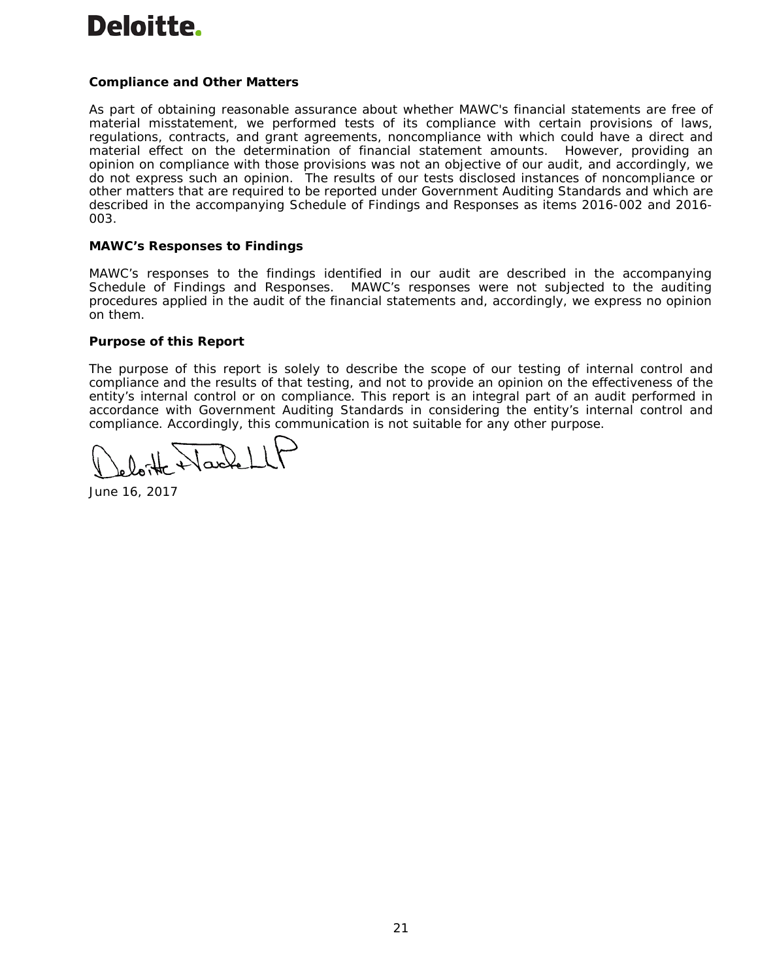# **Deloitte.**

# **Compliance and Other Matters**

As part of obtaining reasonable assurance about whether MAWC's financial statements are free of material misstatement, we performed tests of its compliance with certain provisions of laws, regulations, contracts, and grant agreements, noncompliance with which could have a direct and material effect on the determination of financial statement amounts. However, providing an opinion on compliance with those provisions was not an objective of our audit, and accordingly, we do not express such an opinion. The results of our tests disclosed instances of noncompliance or other matters that are required to be reported under *Government Auditing Standards* and which are described in the accompanying Schedule of Findings and Responses as items 2016-002 and 2016- 003.

## **MAWC's Responses to Findings**

MAWC's responses to the findings identified in our audit are described in the accompanying Schedule of Findings and Responses. MAWC's responses were not subjected to the auditing procedures applied in the audit of the financial statements and, accordingly, we express no opinion on them.

## **Purpose of this Report**

The purpose of this report is solely to describe the scope of our testing of internal control and compliance and the results of that testing, and not to provide an opinion on the effectiveness of the entity's internal control or on compliance. This report is an integral part of an audit performed in accordance with *Government Auditing Standards* in considering the entity's internal control and compliance. Accordingly, this communication is not suitable for any other purpose.

 $\sqrt{\mu}$ 

June 16, 2017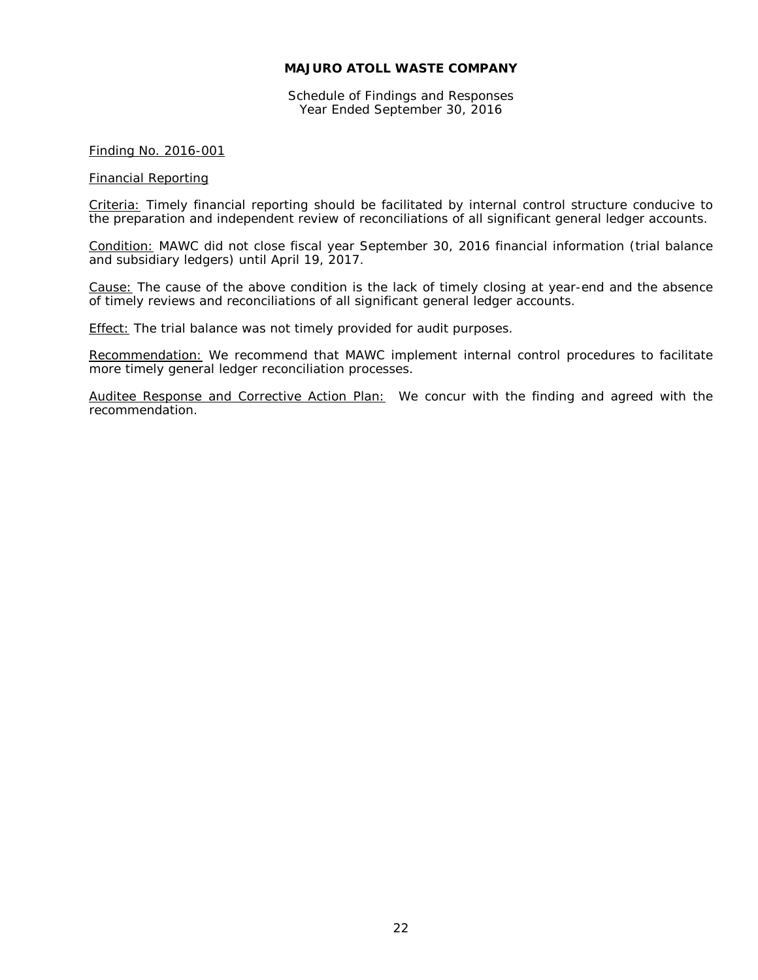Schedule of Findings and Responses Year Ended September 30, 2016

## Finding No. 2016-001

#### Financial Reporting

Criteria: Timely financial reporting should be facilitated by internal control structure conducive to the preparation and independent review of reconciliations of all significant general ledger accounts.

Condition: MAWC did not close fiscal year September 30, 2016 financial information (trial balance and subsidiary ledgers) until April 19, 2017.

Cause: The cause of the above condition is the lack of timely closing at year-end and the absence of timely reviews and reconciliations of all significant general ledger accounts.

Effect: The trial balance was not timely provided for audit purposes.

Recommendation: We recommend that MAWC implement internal control procedures to facilitate more timely general ledger reconciliation processes.

Auditee Response and Corrective Action Plan: We concur with the finding and agreed with the recommendation.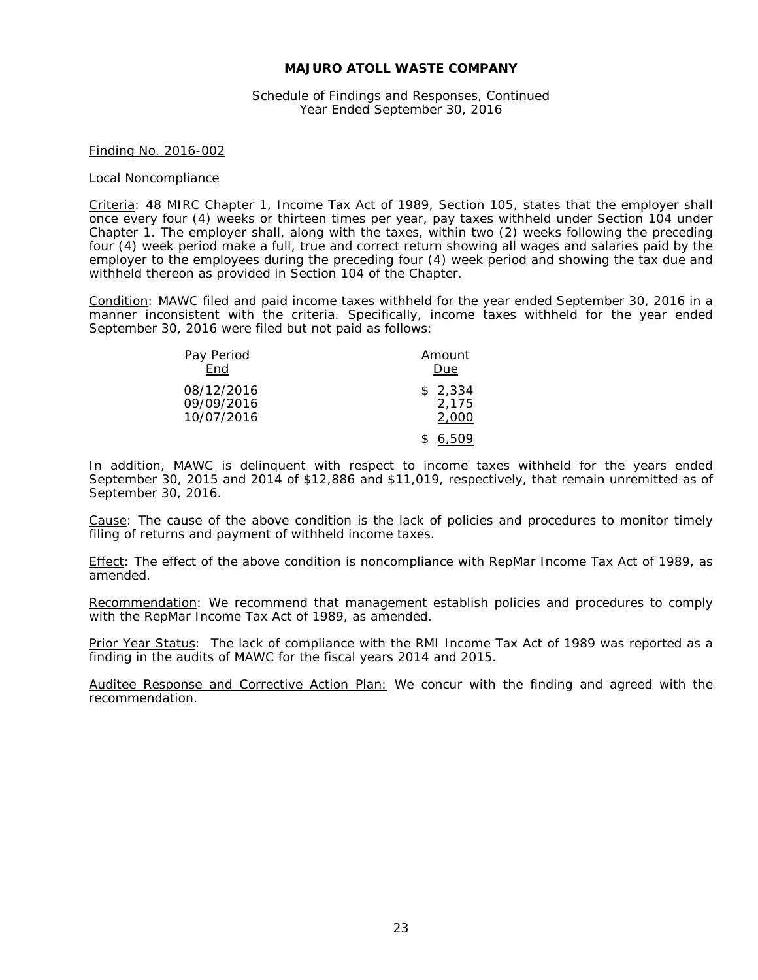Schedule of Findings and Responses, Continued Year Ended September 30, 2016

#### Finding No. 2016-002

#### Local Noncompliance

Criteria: 48 MIRC Chapter 1, Income Tax Act of 1989, Section 105, states that the employer shall once every four (4) weeks or thirteen times per year, pay taxes withheld under Section 104 under Chapter 1. The employer shall, along with the taxes, within two (2) weeks following the preceding four (4) week period make a full, true and correct return showing all wages and salaries paid by the employer to the employees during the preceding four (4) week period and showing the tax due and withheld thereon as provided in Section 104 of the Chapter.

Condition: MAWC filed and paid income taxes withheld for the year ended September 30, 2016 in a manner inconsistent with the criteria. Specifically, income taxes withheld for the year ended September 30, 2016 were filed but not paid as follows:

| Pay Period | Amount  |  |
|------------|---------|--|
| End        | Due     |  |
| 08/12/2016 | \$2,334 |  |
| 09/09/2016 | 2,175   |  |
| 10/07/2016 | 2,000   |  |
|            | 6,509   |  |

In addition, MAWC is delinquent with respect to income taxes withheld for the years ended September 30, 2015 and 2014 of \$12,886 and \$11,019, respectively, that remain unremitted as of September 30, 2016.

Cause: The cause of the above condition is the lack of policies and procedures to monitor timely filing of returns and payment of withheld income taxes.

Effect: The effect of the above condition is noncompliance with RepMar Income Tax Act of 1989, as amended.

Recommendation: We recommend that management establish policies and procedures to comply with the RepMar Income Tax Act of 1989, as amended.

Prior Year Status: The lack of compliance with the RMI Income Tax Act of 1989 was reported as a finding in the audits of MAWC for the fiscal years 2014 and 2015.

Auditee Response and Corrective Action Plan: We concur with the finding and agreed with the recommendation.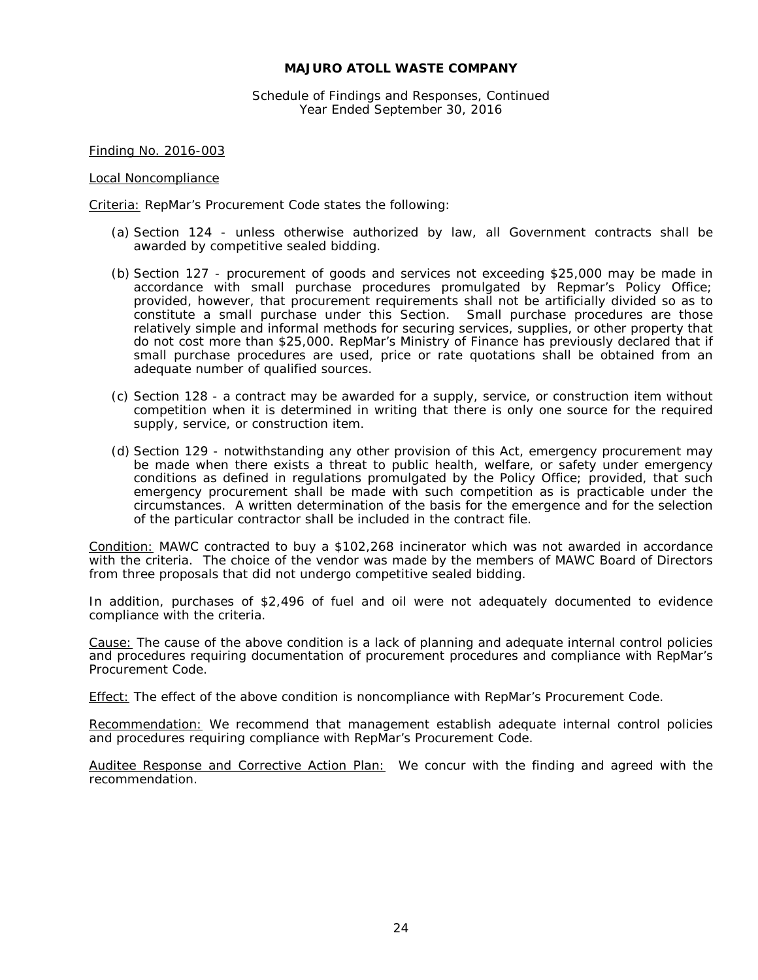Schedule of Findings and Responses, Continued Year Ended September 30, 2016

Finding No. 2016-003

#### Local Noncompliance

Criteria: RepMar's Procurement Code states the following:

- (a) Section 124 unless otherwise authorized by law, all Government contracts shall be awarded by competitive sealed bidding.
- (b) Section 127 procurement of goods and services not exceeding \$25,000 may be made in accordance with small purchase procedures promulgated by Repmar's Policy Office; provided, however, that procurement requirements shall not be artificially divided so as to constitute a small purchase under this Section. Small purchase procedures are those relatively simple and informal methods for securing services, supplies, or other property that do not cost more than \$25,000. RepMar's Ministry of Finance has previously declared that if small purchase procedures are used, price or rate quotations shall be obtained from an adequate number of qualified sources.
- (c) Section 128 a contract may be awarded for a supply, service, or construction item without competition when it is determined in writing that there is only one source for the required supply, service, or construction item.
- (d) Section 129 notwithstanding any other provision of this Act, emergency procurement may be made when there exists a threat to public health, welfare, or safety under emergency conditions as defined in regulations promulgated by the Policy Office; provided, that such emergency procurement shall be made with such competition as is practicable under the circumstances. A written determination of the basis for the emergence and for the selection of the particular contractor shall be included in the contract file.

Condition: MAWC contracted to buy a \$102,268 incinerator which was not awarded in accordance with the criteria. The choice of the vendor was made by the members of MAWC Board of Directors from three proposals that did not undergo competitive sealed bidding.

In addition, purchases of \$2,496 of fuel and oil were not adequately documented to evidence compliance with the criteria.

Cause: The cause of the above condition is a lack of planning and adequate internal control policies and procedures requiring documentation of procurement procedures and compliance with RepMar's Procurement Code.

Effect: The effect of the above condition is noncompliance with RepMar's Procurement Code.

Recommendation: We recommend that management establish adequate internal control policies and procedures requiring compliance with RepMar's Procurement Code.

Auditee Response and Corrective Action Plan: We concur with the finding and agreed with the recommendation.